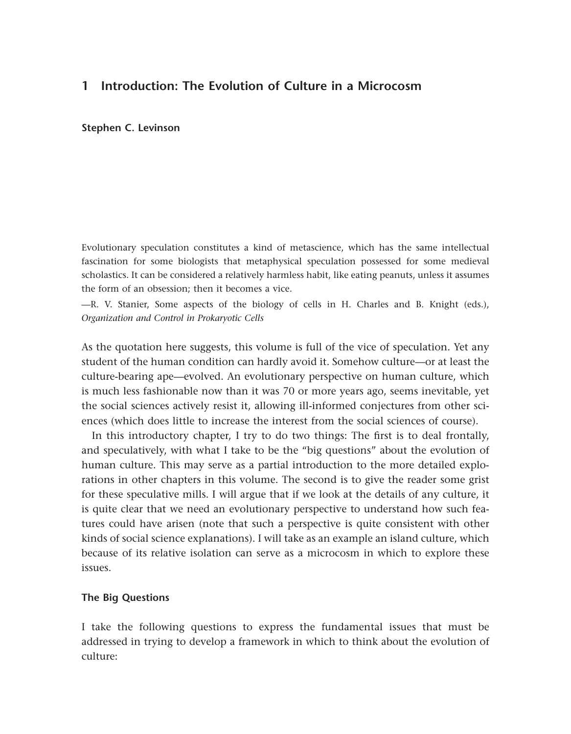# **[1 Introduction: The Evolution of Culture in a Microcosm](#page--1-0)**

### **Stephen C. Levinson**

Evolutionary speculation constitutes a kind of metascience, which has the same intellectual fascination for some biologists that metaphysical speculation possessed for some medieval scholastics. It can be considered a relatively harmless habit, like eating peanuts, unless it assumes the form of an obsession; then it becomes a vice.

—R. V. Stanier, Some aspects of the biology of cells in H. Charles and B. Knight (eds.), *Organization and Control in Prokaryotic Cells*

As the quotation here suggests, this volume is full of the vice of speculation. Yet any student of the human condition can hardly avoid it. Somehow culture—or at least the culture-bearing ape—evolved. An evolutionary perspective on human culture, which is much less fashionable now than it was 70 or more years ago, seems inevitable, yet the social sciences actively resist it, allowing ill-informed conjectures from other sciences (which does little to increase the interest from the social sciences of course).

In this introductory chapter, I try to do two things: The first is to deal frontally, and speculatively, with what I take to be the "big questions" about the evolution of human culture. This may serve as a partial introduction to the more detailed explorations in other chapters in this volume. The second is to give the reader some grist for these speculative mills. I will argue that if we look at the details of any culture, it is quite clear that we need an evolutionary perspective to understand how such features could have arisen (note that such a perspective is quite consistent with other kinds of social science explanations). I will take as an example an island culture, which because of its relative isolation can serve as a microcosm in which to explore these issues.

## **The Big Questions**

I take the following questions to express the fundamental issues that must be addressed in trying to develop a framework in which to think about the evolution of culture: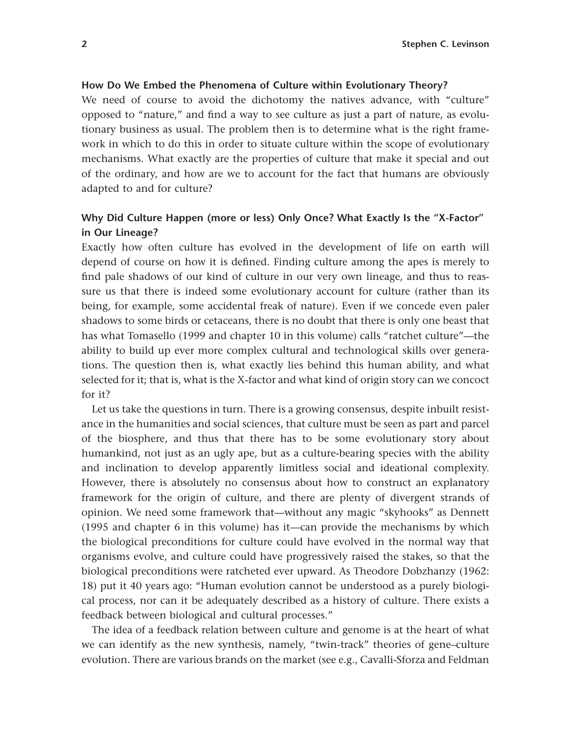## **How Do We Embed the Phenomena of Culture within Evolutionary Theory?**

We need of course to avoid the dichotomy the natives advance, with "culture" opposed to "nature," and find a way to see culture as just a part of nature, as evolutionary business as usual. The problem then is to determine what is the right framework in which to do this in order to situate culture within the scope of evolutionary mechanisms. What exactly are the properties of culture that make it special and out of the ordinary, and how are we to account for the fact that humans are obviously adapted to and for culture?

## **Why Did Culture Happen (more or less) Only Once? What Exactly Is the "X-Factor" in Our Lineage?**

Exactly how often culture has evolved in the development of life on earth will depend of course on how it is defined. Finding culture among the apes is merely to find pale shadows of our kind of culture in our very own lineage, and thus to reassure us that there is indeed some evolutionary account for culture (rather than its being, for example, some accidental freak of nature). Even if we concede even paler shadows to some birds or cetaceans, there is no doubt that there is only one beast that has what Tomasello (1999 and chapter 10 in this volume) calls "ratchet culture"—the ability to build up ever more complex cultural and technological skills over generations. The question then is, what exactly lies behind this human ability, and what selected for it; that is, what is the X-factor and what kind of origin story can we concoct for it?

Let us take the questions in turn. There is a growing consensus, despite inbuilt resistance in the humanities and social sciences, that culture must be seen as part and parcel of the biosphere, and thus that there has to be some evolutionary story about humankind, not just as an ugly ape, but as a culture-bearing species with the ability and inclination to develop apparently limitless social and ideational complexity. However, there is absolutely no consensus about how to construct an explanatory framework for the origin of culture, and there are plenty of divergent strands of opinion. We need some framework that—without any magic "skyhooks" as Dennett (1995 and chapter 6 in this volume) has it—can provide the mechanisms by which the biological preconditions for culture could have evolved in the normal way that organisms evolve, and culture could have progressively raised the stakes, so that the biological preconditions were ratcheted ever upward. As Theodore Dobzhanzy (1962: 18) put it 40 years ago: "Human evolution cannot be understood as a purely biological process, nor can it be adequately described as a history of culture. There exists a feedback between biological and cultural processes."

The idea of a feedback relation between culture and genome is at the heart of what we can identify as the new synthesis, namely, "twin-track" theories of gene–culture evolution. There are various brands on the market (see e.g., Cavalli-Sforza and Feldman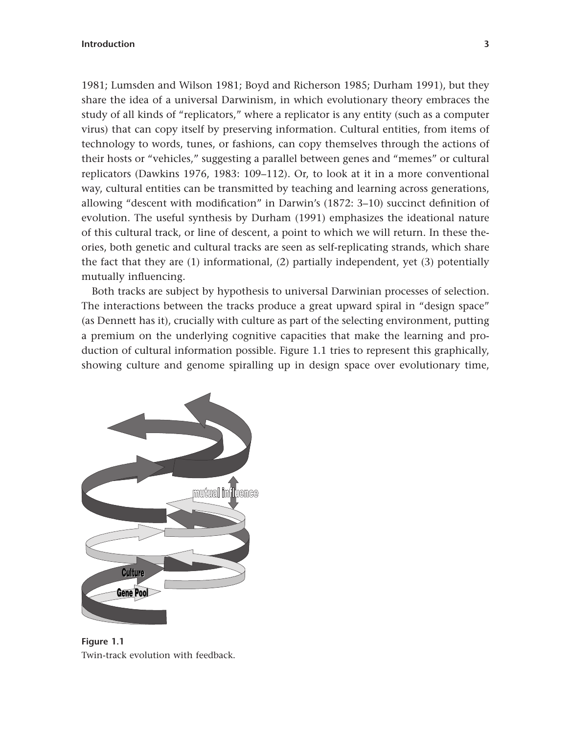1981; Lumsden and Wilson 1981; Boyd and Richerson 1985; Durham 1991), but they share the idea of a universal Darwinism, in which evolutionary theory embraces the study of all kinds of "replicators," where a replicator is any entity (such as a computer virus) that can copy itself by preserving information. Cultural entities, from items of technology to words, tunes, or fashions, can copy themselves through the actions of their hosts or "vehicles," suggesting a parallel between genes and "memes" or cultural replicators (Dawkins 1976, 1983: 109–112). Or, to look at it in a more conventional way, cultural entities can be transmitted by teaching and learning across generations, allowing "descent with modification" in Darwin's (1872: 3–10) succinct definition of evolution. The useful synthesis by Durham (1991) emphasizes the ideational nature of this cultural track, or line of descent, a point to which we will return. In these theories, both genetic and cultural tracks are seen as self-replicating strands, which share the fact that they are (1) informational, (2) partially independent, yet (3) potentially mutually influencing.

Both tracks are subject by hypothesis to universal Darwinian processes of selection. The interactions between the tracks produce a great upward spiral in "design space" (as Dennett has it), crucially with culture as part of the selecting environment, putting a premium on the underlying cognitive capacities that make the learning and production of cultural information possible. Figure 1.1 tries to represent this graphically, showing culture and genome spiralling up in design space over evolutionary time,



**Figure 1.1** Twin-track evolution with feedback.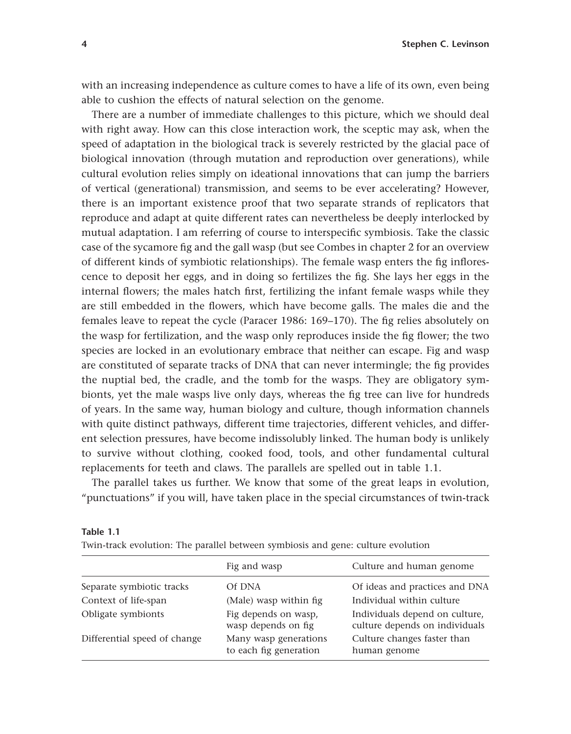with an increasing independence as culture comes to have a life of its own, even being able to cushion the effects of natural selection on the genome.

There are a number of immediate challenges to this picture, which we should deal with right away. How can this close interaction work, the sceptic may ask, when the speed of adaptation in the biological track is severely restricted by the glacial pace of biological innovation (through mutation and reproduction over generations), while cultural evolution relies simply on ideational innovations that can jump the barriers of vertical (generational) transmission, and seems to be ever accelerating? However, there is an important existence proof that two separate strands of replicators that reproduce and adapt at quite different rates can nevertheless be deeply interlocked by mutual adaptation. I am referring of course to interspecific symbiosis. Take the classic case of the sycamore fig and the gall wasp (but see Combes in chapter 2 for an overview of different kinds of symbiotic relationships). The female wasp enters the fig inflorescence to deposit her eggs, and in doing so fertilizes the fig. She lays her eggs in the internal flowers; the males hatch first, fertilizing the infant female wasps while they are still embedded in the flowers, which have become galls. The males die and the females leave to repeat the cycle (Paracer 1986: 169–170). The fig relies absolutely on the wasp for fertilization, and the wasp only reproduces inside the fig flower; the two species are locked in an evolutionary embrace that neither can escape. Fig and wasp are constituted of separate tracks of DNA that can never intermingle; the fig provides the nuptial bed, the cradle, and the tomb for the wasps. They are obligatory symbionts, yet the male wasps live only days, whereas the fig tree can live for hundreds of years. In the same way, human biology and culture, though information channels with quite distinct pathways, different time trajectories, different vehicles, and different selection pressures, have become indissolubly linked. The human body is unlikely to survive without clothing, cooked food, tools, and other fundamental cultural replacements for teeth and claws. The parallels are spelled out in table 1.1.

The parallel takes us further. We know that some of the great leaps in evolution, "punctuations" if you will, have taken place in the special circumstances of twin-track

|                              | Fig and wasp                                    | Culture and human genome                                         |  |
|------------------------------|-------------------------------------------------|------------------------------------------------------------------|--|
| Separate symbiotic tracks    | Of DNA                                          | Of ideas and practices and DNA                                   |  |
| Context of life-span         | (Male) wasp within fig.                         | Individual within culture                                        |  |
| Obligate symbionts           | Fig depends on wasp,<br>wasp depends on fig     | Individuals depend on culture,<br>culture depends on individuals |  |
| Differential speed of change | Many wasp generations<br>to each fig generation | Culture changes faster than<br>human genome                      |  |

| × | ı<br>10 |  |
|---|---------|--|
|   |         |  |

Twin-track evolution: The parallel between symbiosis and gene: culture evolution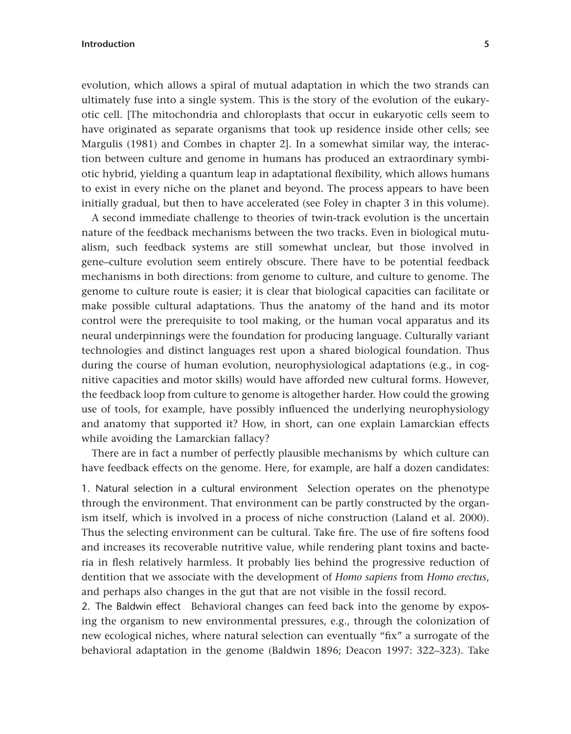evolution, which allows a spiral of mutual adaptation in which the two strands can ultimately fuse into a single system. This is the story of the evolution of the eukaryotic cell. [The mitochondria and chloroplasts that occur in eukaryotic cells seem to have originated as separate organisms that took up residence inside other cells; see Margulis (1981) and Combes in chapter 2]. In a somewhat similar way, the interaction between culture and genome in humans has produced an extraordinary symbiotic hybrid, yielding a quantum leap in adaptational flexibility, which allows humans to exist in every niche on the planet and beyond. The process appears to have been initially gradual, but then to have accelerated (see Foley in chapter 3 in this volume).

A second immediate challenge to theories of twin-track evolution is the uncertain nature of the feedback mechanisms between the two tracks. Even in biological mutualism, such feedback systems are still somewhat unclear, but those involved in gene–culture evolution seem entirely obscure. There have to be potential feedback mechanisms in both directions: from genome to culture, and culture to genome. The genome to culture route is easier; it is clear that biological capacities can facilitate or make possible cultural adaptations. Thus the anatomy of the hand and its motor control were the prerequisite to tool making, or the human vocal apparatus and its neural underpinnings were the foundation for producing language. Culturally variant technologies and distinct languages rest upon a shared biological foundation. Thus during the course of human evolution, neurophysiological adaptations (e.g., in cognitive capacities and motor skills) would have afforded new cultural forms. However, the feedback loop from culture to genome is altogether harder. How could the growing use of tools, for example, have possibly influenced the underlying neurophysiology and anatomy that supported it? How, in short, can one explain Lamarckian effects while avoiding the Lamarckian fallacy?

There are in fact a number of perfectly plausible mechanisms by which culture can have feedback effects on the genome. Here, for example, are half a dozen candidates:

1. Natural selection in a cultural environment Selection operates on the phenotype through the environment. That environment can be partly constructed by the organism itself, which is involved in a process of niche construction (Laland et al. 2000). Thus the selecting environment can be cultural. Take fire. The use of fire softens food and increases its recoverable nutritive value, while rendering plant toxins and bacteria in flesh relatively harmless. It probably lies behind the progressive reduction of dentition that we associate with the development of *Homo sapiens* from *Homo erectus*, and perhaps also changes in the gut that are not visible in the fossil record.

2. The Baldwin effect Behavioral changes can feed back into the genome by exposing the organism to new environmental pressures, e.g., through the colonization of new ecological niches, where natural selection can eventually "fix" a surrogate of the behavioral adaptation in the genome (Baldwin 1896; Deacon 1997: 322–323). Take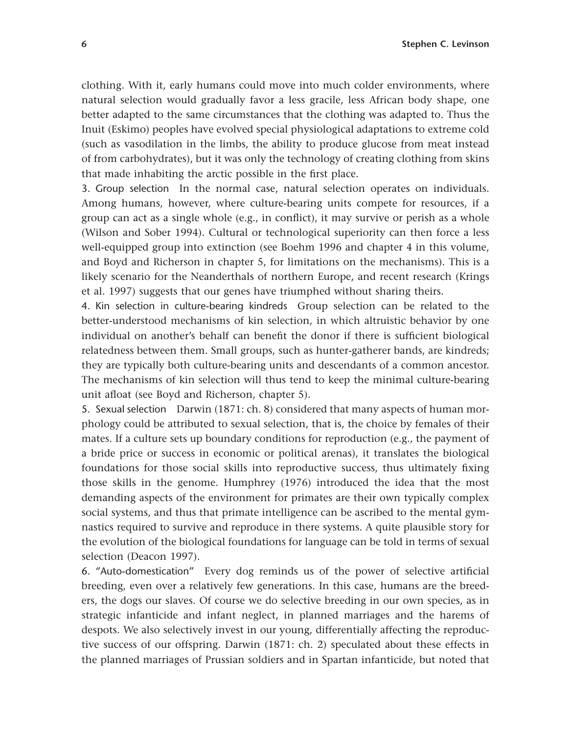clothing. With it, early humans could move into much colder environments, where natural selection would gradually favor a less gracile, less African body shape, one better adapted to the same circumstances that the clothing was adapted to. Thus the Inuit (Eskimo) peoples have evolved special physiological adaptations to extreme cold (such as vasodilation in the limbs, the ability to produce glucose from meat instead of from carbohydrates), but it was only the technology of creating clothing from skins that made inhabiting the arctic possible in the first place.

3. Group selection In the normal case, natural selection operates on individuals. Among humans, however, where culture-bearing units compete for resources, if a group can act as a single whole (e.g., in conflict), it may survive or perish as a whole (Wilson and Sober 1994). Cultural or technological superiority can then force a less well-equipped group into extinction (see Boehm 1996 and chapter 4 in this volume, and Boyd and Richerson in chapter 5, for limitations on the mechanisms). This is a likely scenario for the Neanderthals of northern Europe, and recent research (Krings et al. 1997) suggests that our genes have triumphed without sharing theirs.

4. Kin selection in culture-bearing kindreds Group selection can be related to the better-understood mechanisms of kin selection, in which altruistic behavior by one individual on another's behalf can benefit the donor if there is sufficient biological relatedness between them. Small groups, such as hunter-gatherer bands, are kindreds; they are typically both culture-bearing units and descendants of a common ancestor. The mechanisms of kin selection will thus tend to keep the minimal culture-bearing unit afloat (see Boyd and Richerson, chapter 5).

5. Sexual selection Darwin (1871: ch. 8) considered that many aspects of human morphology could be attributed to sexual selection, that is, the choice by females of their mates. If a culture sets up boundary conditions for reproduction (e.g., the payment of a bride price or success in economic or political arenas), it translates the biological foundations for those social skills into reproductive success, thus ultimately fixing those skills in the genome. Humphrey (1976) introduced the idea that the most demanding aspects of the environment for primates are their own typically complex social systems, and thus that primate intelligence can be ascribed to the mental gymnastics required to survive and reproduce in there systems. A quite plausible story for the evolution of the biological foundations for language can be told in terms of sexual selection (Deacon 1997).

6. "Auto-domestication" Every dog reminds us of the power of selective artificial breeding, even over a relatively few generations. In this case, humans are the breeders, the dogs our slaves. Of course we do selective breeding in our own species, as in strategic infanticide and infant neglect, in planned marriages and the harems of despots. We also selectively invest in our young, differentially affecting the reproductive success of our offspring. Darwin (1871: ch. 2) speculated about these effects in the planned marriages of Prussian soldiers and in Spartan infanticide, but noted that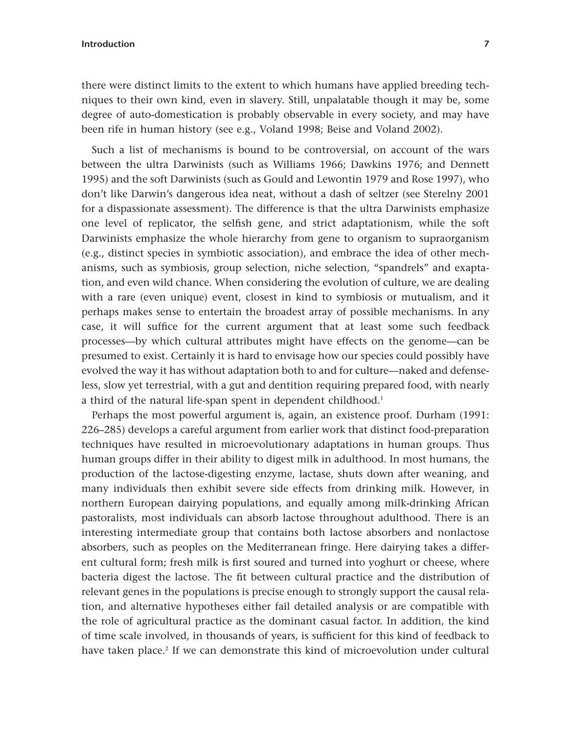there were distinct limits to the extent to which humans have applied breeding techniques to their own kind, even in slavery. Still, unpalatable though it may be, some degree of auto-domestication is probably observable in every society, and may have been rife in human history (see e.g., Voland 1998; Beise and Voland 2002).

Such a list of mechanisms is bound to be controversial, on account of the wars between the ultra Darwinists (such as Williams 1966; Dawkins 1976; and Dennett 1995) and the soft Darwinists (such as Gould and Lewontin 1979 and Rose 1997), who don't like Darwin's dangerous idea neat, without a dash of seltzer (see Sterelny 2001 for a dispassionate assessment). The difference is that the ultra Darwinists emphasize one level of replicator, the selfish gene, and strict adaptationism, while the soft Darwinists emphasize the whole hierarchy from gene to organism to supraorganism (e.g., distinct species in symbiotic association), and embrace the idea of other mechanisms, such as symbiosis, group selection, niche selection, "spandrels" and exaptation, and even wild chance. When considering the evolution of culture, we are dealing with a rare (even unique) event, closest in kind to symbiosis or mutualism, and it perhaps makes sense to entertain the broadest array of possible mechanisms. In any case, it will suffice for the current argument that at least some such feedback processes—by which cultural attributes might have effects on the genome—can be presumed to exist. Certainly it is hard to envisage how our species could possibly have evolved the way it has without adaptation both to and for culture—naked and defenseless, slow yet terrestrial, with a gut and dentition requiring prepared food, with nearly a third of the natural life-span spent in dependent childhood.<sup>1</sup>

Perhaps the most powerful argument is, again, an existence proof. Durham (1991: 226–285) develops a careful argument from earlier work that distinct food-preparation techniques have resulted in microevolutionary adaptations in human groups. Thus human groups differ in their ability to digest milk in adulthood. In most humans, the production of the lactose-digesting enzyme, lactase, shuts down after weaning, and many individuals then exhibit severe side effects from drinking milk. However, in northern European dairying populations, and equally among milk-drinking African pastoralists, most individuals can absorb lactose throughout adulthood. There is an interesting intermediate group that contains both lactose absorbers and nonlactose absorbers, such as peoples on the Mediterranean fringe. Here dairying takes a different cultural form; fresh milk is first soured and turned into yoghurt or cheese, where bacteria digest the lactose. The fit between cultural practice and the distribution of relevant genes in the populations is precise enough to strongly support the causal relation, and alternative hypotheses either fail detailed analysis or are compatible with the role of agricultural practice as the dominant casual factor. In addition, the kind of time scale involved, in thousands of years, is sufficient for this kind of feedback to have taken place.<sup>2</sup> If we can demonstrate this kind of microevolution under cultural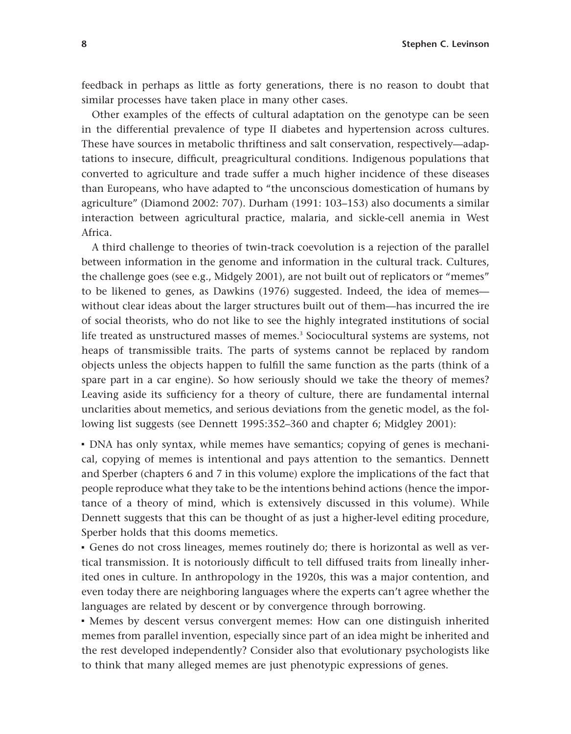feedback in perhaps as little as forty generations, there is no reason to doubt that similar processes have taken place in many other cases.

Other examples of the effects of cultural adaptation on the genotype can be seen in the differential prevalence of type II diabetes and hypertension across cultures. These have sources in metabolic thriftiness and salt conservation, respectively—adaptations to insecure, difficult, preagricultural conditions. Indigenous populations that converted to agriculture and trade suffer a much higher incidence of these diseases than Europeans, who have adapted to "the unconscious domestication of humans by agriculture" (Diamond 2002: 707). Durham (1991: 103–153) also documents a similar interaction between agricultural practice, malaria, and sickle-cell anemia in West Africa.

A third challenge to theories of twin-track coevolution is a rejection of the parallel between information in the genome and information in the cultural track. Cultures, the challenge goes (see e.g., Midgely 2001), are not built out of replicators or "memes" to be likened to genes, as Dawkins (1976) suggested. Indeed, the idea of memes without clear ideas about the larger structures built out of them—has incurred the ire of social theorists, who do not like to see the highly integrated institutions of social life treated as unstructured masses of memes.3 Sociocultural systems are systems, not heaps of transmissible traits. The parts of systems cannot be replaced by random objects unless the objects happen to fulfill the same function as the parts (think of a spare part in a car engine). So how seriously should we take the theory of memes? Leaving aside its sufficiency for a theory of culture, there are fundamental internal unclarities about memetics, and serious deviations from the genetic model, as the following list suggests (see Dennett 1995:352–360 and chapter 6; Midgley 2001):

- DNA has only syntax, while memes have semantics; copying of genes is mechanical, copying of memes is intentional and pays attention to the semantics. Dennett and Sperber (chapters 6 and 7 in this volume) explore the implications of the fact that people reproduce what they take to be the intentions behind actions (hence the importance of a theory of mind, which is extensively discussed in this volume). While Dennett suggests that this can be thought of as just a higher-level editing procedure, Sperber holds that this dooms memetics.

- Genes do not cross lineages, memes routinely do; there is horizontal as well as vertical transmission. It is notoriously difficult to tell diffused traits from lineally inherited ones in culture. In anthropology in the 1920s, this was a major contention, and even today there are neighboring languages where the experts can't agree whether the languages are related by descent or by convergence through borrowing.

- Memes by descent versus convergent memes: How can one distinguish inherited memes from parallel invention, especially since part of an idea might be inherited and the rest developed independently? Consider also that evolutionary psychologists like to think that many alleged memes are just phenotypic expressions of genes.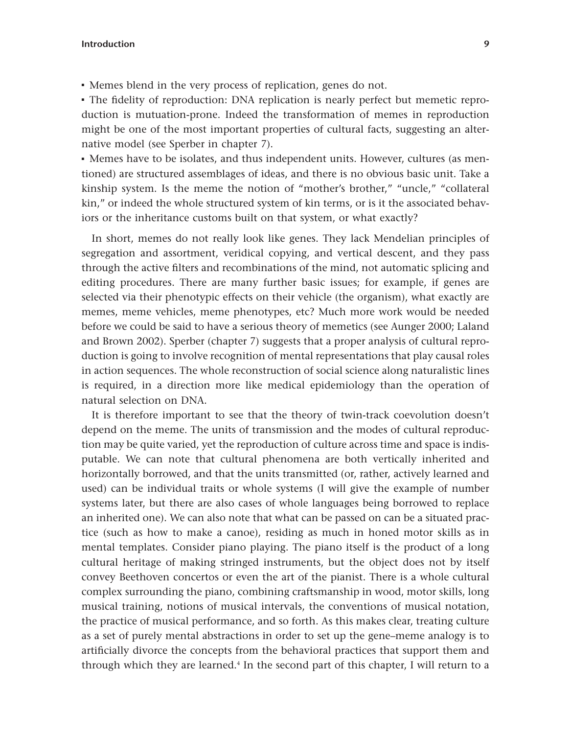- Memes blend in the very process of replication, genes do not.

- The fidelity of reproduction: DNA replication is nearly perfect but memetic reproduction is mutuation-prone. Indeed the transformation of memes in reproduction might be one of the most important properties of cultural facts, suggesting an alternative model (see Sperber in chapter 7).

- Memes have to be isolates, and thus independent units. However, cultures (as mentioned) are structured assemblages of ideas, and there is no obvious basic unit. Take a kinship system. Is the meme the notion of "mother's brother," "uncle," "collateral kin," or indeed the whole structured system of kin terms, or is it the associated behaviors or the inheritance customs built on that system, or what exactly?

In short, memes do not really look like genes. They lack Mendelian principles of segregation and assortment, veridical copying, and vertical descent, and they pass through the active filters and recombinations of the mind, not automatic splicing and editing procedures. There are many further basic issues; for example, if genes are selected via their phenotypic effects on their vehicle (the organism), what exactly are memes, meme vehicles, meme phenotypes, etc? Much more work would be needed before we could be said to have a serious theory of memetics (see Aunger 2000; Laland and Brown 2002). Sperber (chapter 7) suggests that a proper analysis of cultural reproduction is going to involve recognition of mental representations that play causal roles in action sequences. The whole reconstruction of social science along naturalistic lines is required, in a direction more like medical epidemiology than the operation of natural selection on DNA.

It is therefore important to see that the theory of twin-track coevolution doesn't depend on the meme. The units of transmission and the modes of cultural reproduction may be quite varied, yet the reproduction of culture across time and space is indisputable. We can note that cultural phenomena are both vertically inherited and horizontally borrowed, and that the units transmitted (or, rather, actively learned and used) can be individual traits or whole systems (I will give the example of number systems later, but there are also cases of whole languages being borrowed to replace an inherited one). We can also note that what can be passed on can be a situated practice (such as how to make a canoe), residing as much in honed motor skills as in mental templates. Consider piano playing. The piano itself is the product of a long cultural heritage of making stringed instruments, but the object does not by itself convey Beethoven concertos or even the art of the pianist. There is a whole cultural complex surrounding the piano, combining craftsmanship in wood, motor skills, long musical training, notions of musical intervals, the conventions of musical notation, the practice of musical performance, and so forth. As this makes clear, treating culture as a set of purely mental abstractions in order to set up the gene–meme analogy is to artificially divorce the concepts from the behavioral practices that support them and through which they are learned.4 In the second part of this chapter, I will return to a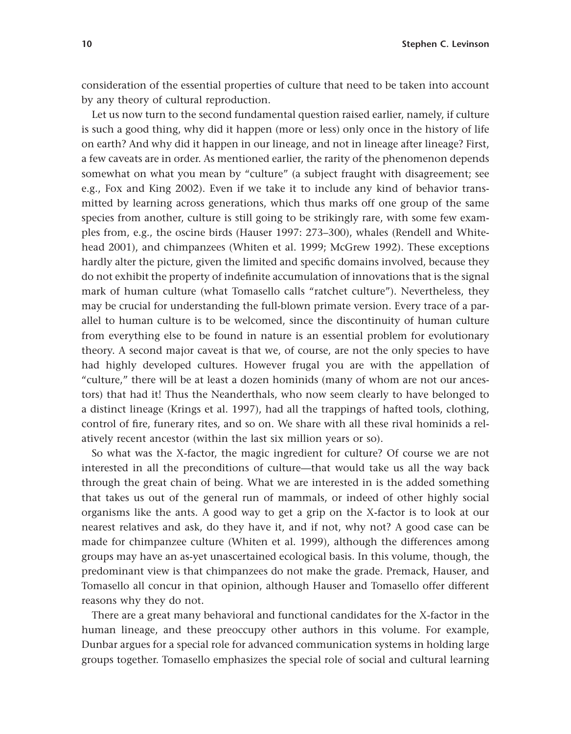consideration of the essential properties of culture that need to be taken into account by any theory of cultural reproduction.

Let us now turn to the second fundamental question raised earlier, namely, if culture is such a good thing, why did it happen (more or less) only once in the history of life on earth? And why did it happen in our lineage, and not in lineage after lineage? First, a few caveats are in order. As mentioned earlier, the rarity of the phenomenon depends somewhat on what you mean by "culture" (a subject fraught with disagreement; see e.g., Fox and King 2002). Even if we take it to include any kind of behavior transmitted by learning across generations, which thus marks off one group of the same species from another, culture is still going to be strikingly rare, with some few examples from, e.g., the oscine birds (Hauser 1997: 273–300), whales (Rendell and Whitehead 2001), and chimpanzees (Whiten et al. 1999; McGrew 1992). These exceptions hardly alter the picture, given the limited and specific domains involved, because they do not exhibit the property of indefinite accumulation of innovations that is the signal mark of human culture (what Tomasello calls "ratchet culture"). Nevertheless, they may be crucial for understanding the full-blown primate version. Every trace of a parallel to human culture is to be welcomed, since the discontinuity of human culture from everything else to be found in nature is an essential problem for evolutionary theory. A second major caveat is that we, of course, are not the only species to have had highly developed cultures. However frugal you are with the appellation of "culture," there will be at least a dozen hominids (many of whom are not our ancestors) that had it! Thus the Neanderthals, who now seem clearly to have belonged to a distinct lineage (Krings et al. 1997), had all the trappings of hafted tools, clothing, control of fire, funerary rites, and so on. We share with all these rival hominids a relatively recent ancestor (within the last six million years or so).

So what was the X-factor, the magic ingredient for culture? Of course we are not interested in all the preconditions of culture—that would take us all the way back through the great chain of being. What we are interested in is the added something that takes us out of the general run of mammals, or indeed of other highly social organisms like the ants. A good way to get a grip on the X-factor is to look at our nearest relatives and ask, do they have it, and if not, why not? A good case can be made for chimpanzee culture (Whiten et al. 1999), although the differences among groups may have an as-yet unascertained ecological basis. In this volume, though, the predominant view is that chimpanzees do not make the grade. Premack, Hauser, and Tomasello all concur in that opinion, although Hauser and Tomasello offer different reasons why they do not.

There are a great many behavioral and functional candidates for the X-factor in the human lineage, and these preoccupy other authors in this volume. For example, Dunbar argues for a special role for advanced communication systems in holding large groups together. Tomasello emphasizes the special role of social and cultural learning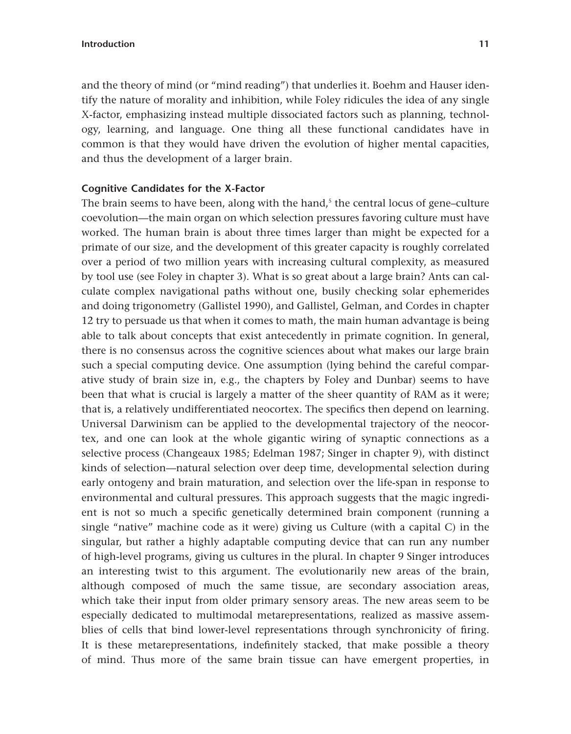and the theory of mind (or "mind reading") that underlies it. Boehm and Hauser identify the nature of morality and inhibition, while Foley ridicules the idea of any single X-factor, emphasizing instead multiple dissociated factors such as planning, technology, learning, and language. One thing all these functional candidates have in common is that they would have driven the evolution of higher mental capacities, and thus the development of a larger brain.

## **Cognitive Candidates for the X-Factor**

The brain seems to have been, along with the hand, $5$  the central locus of gene–culture coevolution—the main organ on which selection pressures favoring culture must have worked. The human brain is about three times larger than might be expected for a primate of our size, and the development of this greater capacity is roughly correlated over a period of two million years with increasing cultural complexity, as measured by tool use (see Foley in chapter 3). What is so great about a large brain? Ants can calculate complex navigational paths without one, busily checking solar ephemerides and doing trigonometry (Gallistel 1990), and Gallistel, Gelman, and Cordes in chapter 12 try to persuade us that when it comes to math, the main human advantage is being able to talk about concepts that exist antecedently in primate cognition. In general, there is no consensus across the cognitive sciences about what makes our large brain such a special computing device. One assumption (lying behind the careful comparative study of brain size in, e.g., the chapters by Foley and Dunbar) seems to have been that what is crucial is largely a matter of the sheer quantity of RAM as it were; that is, a relatively undifferentiated neocortex. The specifics then depend on learning. Universal Darwinism can be applied to the developmental trajectory of the neocortex, and one can look at the whole gigantic wiring of synaptic connections as a selective process (Changeaux 1985; Edelman 1987; Singer in chapter 9), with distinct kinds of selection—natural selection over deep time, developmental selection during early ontogeny and brain maturation, and selection over the life-span in response to environmental and cultural pressures. This approach suggests that the magic ingredient is not so much a specific genetically determined brain component (running a single "native" machine code as it were) giving us Culture (with a capital C) in the singular, but rather a highly adaptable computing device that can run any number of high-level programs, giving us cultures in the plural. In chapter 9 Singer introduces an interesting twist to this argument. The evolutionarily new areas of the brain, although composed of much the same tissue, are secondary association areas, which take their input from older primary sensory areas. The new areas seem to be especially dedicated to multimodal metarepresentations, realized as massive assemblies of cells that bind lower-level representations through synchronicity of firing. It is these metarepresentations, indefinitely stacked, that make possible a theory of mind. Thus more of the same brain tissue can have emergent properties, in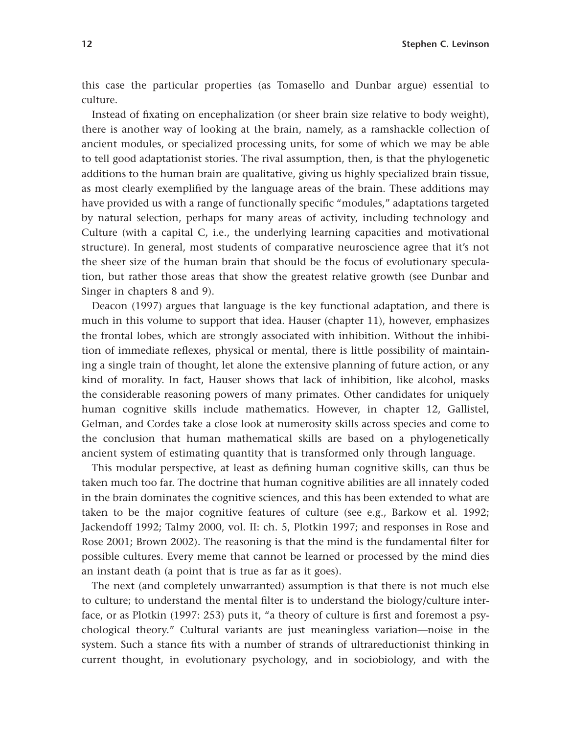this case the particular properties (as Tomasello and Dunbar argue) essential to culture.

Instead of fixating on encephalization (or sheer brain size relative to body weight), there is another way of looking at the brain, namely, as a ramshackle collection of ancient modules, or specialized processing units, for some of which we may be able to tell good adaptationist stories. The rival assumption, then, is that the phylogenetic additions to the human brain are qualitative, giving us highly specialized brain tissue, as most clearly exemplified by the language areas of the brain. These additions may have provided us with a range of functionally specific "modules," adaptations targeted by natural selection, perhaps for many areas of activity, including technology and Culture (with a capital C, i.e., the underlying learning capacities and motivational structure). In general, most students of comparative neuroscience agree that it's not the sheer size of the human brain that should be the focus of evolutionary speculation, but rather those areas that show the greatest relative growth (see Dunbar and Singer in chapters 8 and 9).

Deacon (1997) argues that language is the key functional adaptation, and there is much in this volume to support that idea. Hauser (chapter 11), however, emphasizes the frontal lobes, which are strongly associated with inhibition. Without the inhibition of immediate reflexes, physical or mental, there is little possibility of maintaining a single train of thought, let alone the extensive planning of future action, or any kind of morality. In fact, Hauser shows that lack of inhibition, like alcohol, masks the considerable reasoning powers of many primates. Other candidates for uniquely human cognitive skills include mathematics. However, in chapter 12, Gallistel, Gelman, and Cordes take a close look at numerosity skills across species and come to the conclusion that human mathematical skills are based on a phylogenetically ancient system of estimating quantity that is transformed only through language.

This modular perspective, at least as defining human cognitive skills, can thus be taken much too far. The doctrine that human cognitive abilities are all innately coded in the brain dominates the cognitive sciences, and this has been extended to what are taken to be the major cognitive features of culture (see e.g., Barkow et al. 1992; Jackendoff 1992; Talmy 2000, vol. II: ch. 5, Plotkin 1997; and responses in Rose and Rose 2001; Brown 2002). The reasoning is that the mind is the fundamental filter for possible cultures. Every meme that cannot be learned or processed by the mind dies an instant death (a point that is true as far as it goes).

The next (and completely unwarranted) assumption is that there is not much else to culture; to understand the mental filter is to understand the biology/culture interface, or as Plotkin (1997: 253) puts it, "a theory of culture is first and foremost a psychological theory." Cultural variants are just meaningless variation—noise in the system. Such a stance fits with a number of strands of ultrareductionist thinking in current thought, in evolutionary psychology, and in sociobiology, and with the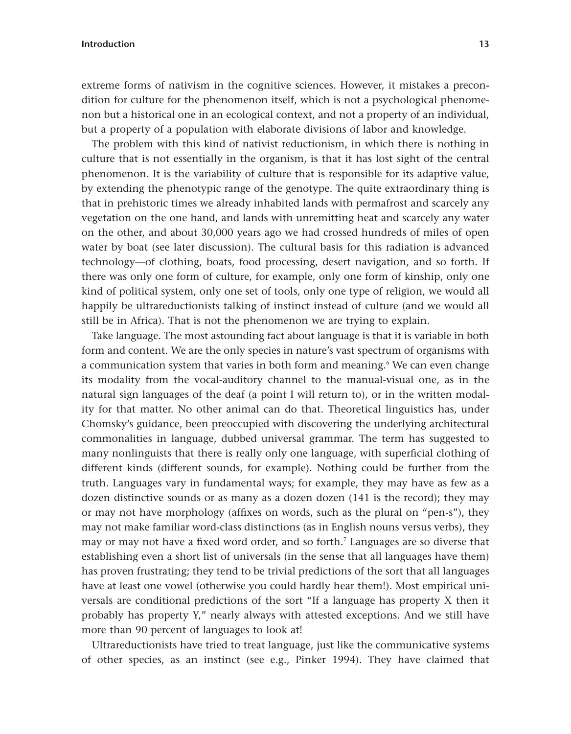extreme forms of nativism in the cognitive sciences. However, it mistakes a precondition for culture for the phenomenon itself, which is not a psychological phenomenon but a historical one in an ecological context, and not a property of an individual, but a property of a population with elaborate divisions of labor and knowledge.

The problem with this kind of nativist reductionism, in which there is nothing in culture that is not essentially in the organism, is that it has lost sight of the central phenomenon. It is the variability of culture that is responsible for its adaptive value, by extending the phenotypic range of the genotype. The quite extraordinary thing is that in prehistoric times we already inhabited lands with permafrost and scarcely any vegetation on the one hand, and lands with unremitting heat and scarcely any water on the other, and about 30,000 years ago we had crossed hundreds of miles of open water by boat (see later discussion). The cultural basis for this radiation is advanced technology—of clothing, boats, food processing, desert navigation, and so forth. If there was only one form of culture, for example, only one form of kinship, only one kind of political system, only one set of tools, only one type of religion, we would all happily be ultrareductionists talking of instinct instead of culture (and we would all still be in Africa). That is not the phenomenon we are trying to explain.

Take language. The most astounding fact about language is that it is variable in both form and content. We are the only species in nature's vast spectrum of organisms with a communication system that varies in both form and meaning.<sup>6</sup> We can even change its modality from the vocal-auditory channel to the manual-visual one, as in the natural sign languages of the deaf (a point I will return to), or in the written modality for that matter. No other animal can do that. Theoretical linguistics has, under Chomsky's guidance, been preoccupied with discovering the underlying architectural commonalities in language, dubbed universal grammar. The term has suggested to many nonlinguists that there is really only one language, with superficial clothing of different kinds (different sounds, for example). Nothing could be further from the truth. Languages vary in fundamental ways; for example, they may have as few as a dozen distinctive sounds or as many as a dozen dozen (141 is the record); they may or may not have morphology (affixes on words, such as the plural on "pen-s"), they may not make familiar word-class distinctions (as in English nouns versus verbs), they may or may not have a fixed word order, and so forth.7 Languages are so diverse that establishing even a short list of universals (in the sense that all languages have them) has proven frustrating; they tend to be trivial predictions of the sort that all languages have at least one vowel (otherwise you could hardly hear them!). Most empirical universals are conditional predictions of the sort "If a language has property X then it probably has property Y," nearly always with attested exceptions. And we still have more than 90 percent of languages to look at!

Ultrareductionists have tried to treat language, just like the communicative systems of other species, as an instinct (see e.g., Pinker 1994). They have claimed that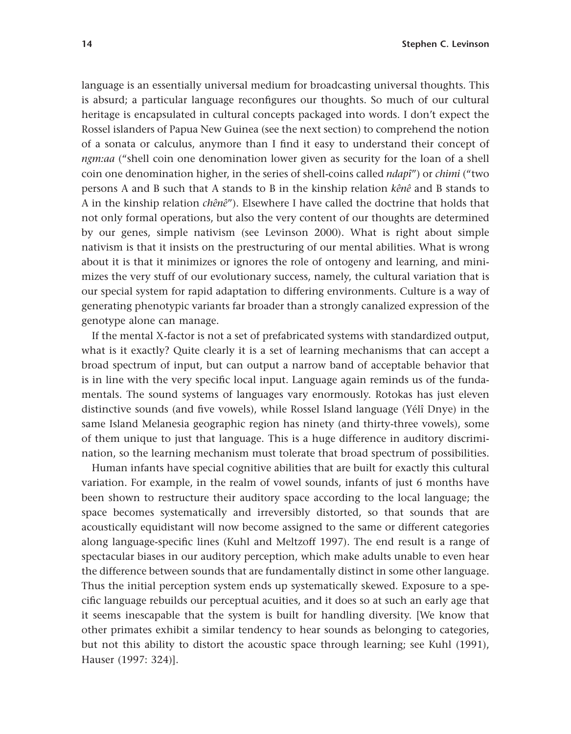language is an essentially universal medium for broadcasting universal thoughts. This is absurd; a particular language reconfigures our thoughts. So much of our cultural heritage is encapsulated in cultural concepts packaged into words. I don't expect the Rossel islanders of Papua New Guinea (see the next section) to comprehend the notion of a sonata or calculus, anymore than I find it easy to understand their concept of *ngm:aa* ("shell coin one denomination lower given as security for the loan of a shell coin one denomination higher, in the series of shell-coins called *ndapî*") or *chimi* ("two persons A and B such that A stands to B in the kinship relation *kênê* and B stands to A in the kinship relation *chênê*"). Elsewhere I have called the doctrine that holds that not only formal operations, but also the very content of our thoughts are determined by our genes, simple nativism (see Levinson 2000). What is right about simple nativism is that it insists on the prestructuring of our mental abilities. What is wrong about it is that it minimizes or ignores the role of ontogeny and learning, and minimizes the very stuff of our evolutionary success, namely, the cultural variation that is our special system for rapid adaptation to differing environments. Culture is a way of generating phenotypic variants far broader than a strongly canalized expression of the genotype alone can manage.

If the mental X-factor is not a set of prefabricated systems with standardized output, what is it exactly? Quite clearly it is a set of learning mechanisms that can accept a broad spectrum of input, but can output a narrow band of acceptable behavior that is in line with the very specific local input. Language again reminds us of the fundamentals. The sound systems of languages vary enormously. Rotokas has just eleven distinctive sounds (and five vowels), while Rossel Island language (Yélî Dnye) in the same Island Melanesia geographic region has ninety (and thirty-three vowels), some of them unique to just that language. This is a huge difference in auditory discrimination, so the learning mechanism must tolerate that broad spectrum of possibilities.

Human infants have special cognitive abilities that are built for exactly this cultural variation. For example, in the realm of vowel sounds, infants of just 6 months have been shown to restructure their auditory space according to the local language; the space becomes systematically and irreversibly distorted, so that sounds that are acoustically equidistant will now become assigned to the same or different categories along language-specific lines (Kuhl and Meltzoff 1997). The end result is a range of spectacular biases in our auditory perception, which make adults unable to even hear the difference between sounds that are fundamentally distinct in some other language. Thus the initial perception system ends up systematically skewed. Exposure to a specific language rebuilds our perceptual acuities, and it does so at such an early age that it seems inescapable that the system is built for handling diversity. [We know that other primates exhibit a similar tendency to hear sounds as belonging to categories, but not this ability to distort the acoustic space through learning; see Kuhl (1991), Hauser (1997: 324)].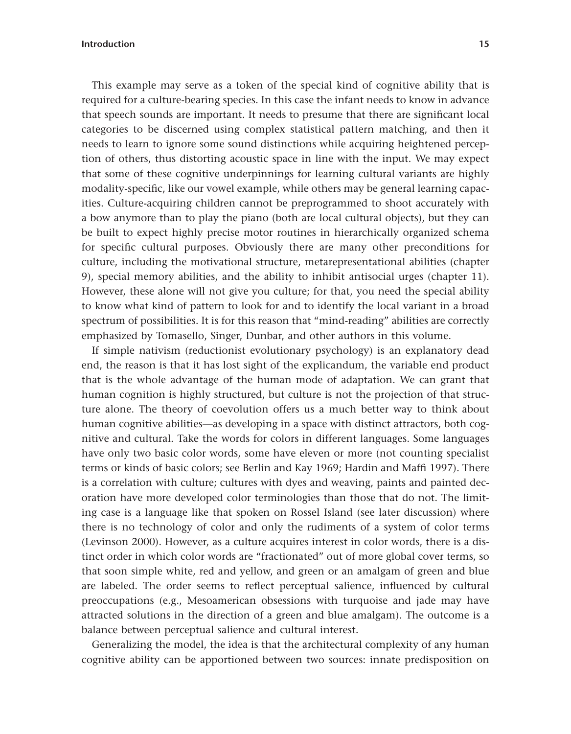This example may serve as a token of the special kind of cognitive ability that is required for a culture-bearing species. In this case the infant needs to know in advance that speech sounds are important. It needs to presume that there are significant local categories to be discerned using complex statistical pattern matching, and then it needs to learn to ignore some sound distinctions while acquiring heightened perception of others, thus distorting acoustic space in line with the input. We may expect that some of these cognitive underpinnings for learning cultural variants are highly modality-specific, like our vowel example, while others may be general learning capacities. Culture-acquiring children cannot be preprogrammed to shoot accurately with a bow anymore than to play the piano (both are local cultural objects), but they can be built to expect highly precise motor routines in hierarchically organized schema for specific cultural purposes. Obviously there are many other preconditions for culture, including the motivational structure, metarepresentational abilities (chapter 9), special memory abilities, and the ability to inhibit antisocial urges (chapter 11). However, these alone will not give you culture; for that, you need the special ability to know what kind of pattern to look for and to identify the local variant in a broad spectrum of possibilities. It is for this reason that "mind-reading" abilities are correctly emphasized by Tomasello, Singer, Dunbar, and other authors in this volume.

If simple nativism (reductionist evolutionary psychology) is an explanatory dead end, the reason is that it has lost sight of the explicandum, the variable end product that is the whole advantage of the human mode of adaptation. We can grant that human cognition is highly structured, but culture is not the projection of that structure alone. The theory of coevolution offers us a much better way to think about human cognitive abilities—as developing in a space with distinct attractors, both cognitive and cultural. Take the words for colors in different languages. Some languages have only two basic color words, some have eleven or more (not counting specialist terms or kinds of basic colors; see Berlin and Kay 1969; Hardin and Maffi 1997). There is a correlation with culture; cultures with dyes and weaving, paints and painted decoration have more developed color terminologies than those that do not. The limiting case is a language like that spoken on Rossel Island (see later discussion) where there is no technology of color and only the rudiments of a system of color terms (Levinson 2000). However, as a culture acquires interest in color words, there is a distinct order in which color words are "fractionated" out of more global cover terms, so that soon simple white, red and yellow, and green or an amalgam of green and blue are labeled. The order seems to reflect perceptual salience, influenced by cultural preoccupations (e.g., Mesoamerican obsessions with turquoise and jade may have attracted solutions in the direction of a green and blue amalgam). The outcome is a balance between perceptual salience and cultural interest.

Generalizing the model, the idea is that the architectural complexity of any human cognitive ability can be apportioned between two sources: innate predisposition on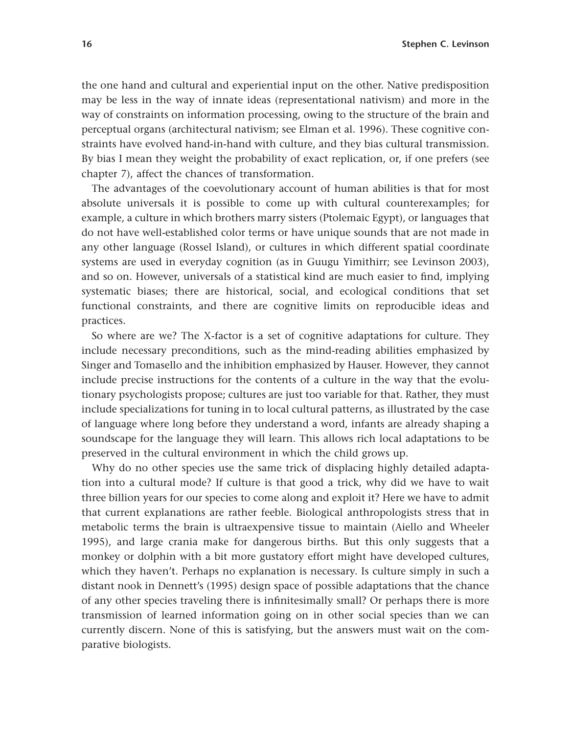the one hand and cultural and experiential input on the other. Native predisposition may be less in the way of innate ideas (representational nativism) and more in the way of constraints on information processing, owing to the structure of the brain and perceptual organs (architectural nativism; see Elman et al. 1996). These cognitive constraints have evolved hand-in-hand with culture, and they bias cultural transmission. By bias I mean they weight the probability of exact replication, or, if one prefers (see chapter 7), affect the chances of transformation.

The advantages of the coevolutionary account of human abilities is that for most absolute universals it is possible to come up with cultural counterexamples; for example, a culture in which brothers marry sisters (Ptolemaic Egypt), or languages that do not have well-established color terms or have unique sounds that are not made in any other language (Rossel Island), or cultures in which different spatial coordinate systems are used in everyday cognition (as in Guugu Yimithirr; see Levinson 2003), and so on. However, universals of a statistical kind are much easier to find, implying systematic biases; there are historical, social, and ecological conditions that set functional constraints, and there are cognitive limits on reproducible ideas and practices.

So where are we? The X-factor is a set of cognitive adaptations for culture. They include necessary preconditions, such as the mind-reading abilities emphasized by Singer and Tomasello and the inhibition emphasized by Hauser. However, they cannot include precise instructions for the contents of a culture in the way that the evolutionary psychologists propose; cultures are just too variable for that. Rather, they must include specializations for tuning in to local cultural patterns, as illustrated by the case of language where long before they understand a word, infants are already shaping a soundscape for the language they will learn. This allows rich local adaptations to be preserved in the cultural environment in which the child grows up.

Why do no other species use the same trick of displacing highly detailed adaptation into a cultural mode? If culture is that good a trick, why did we have to wait three billion years for our species to come along and exploit it? Here we have to admit that current explanations are rather feeble. Biological anthropologists stress that in metabolic terms the brain is ultraexpensive tissue to maintain (Aiello and Wheeler 1995), and large crania make for dangerous births. But this only suggests that a monkey or dolphin with a bit more gustatory effort might have developed cultures, which they haven't. Perhaps no explanation is necessary. Is culture simply in such a distant nook in Dennett's (1995) design space of possible adaptations that the chance of any other species traveling there is infinitesimally small? Or perhaps there is more transmission of learned information going on in other social species than we can currently discern. None of this is satisfying, but the answers must wait on the comparative biologists.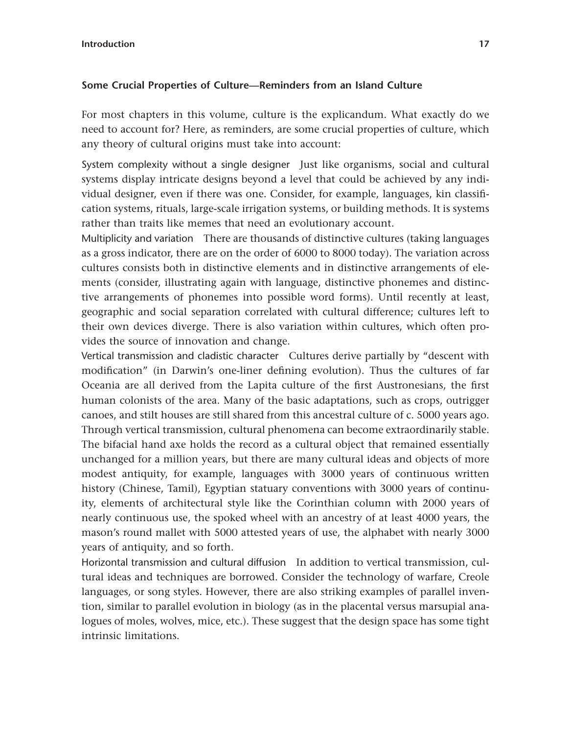## **Some Crucial Properties of Culture—Reminders from an Island Culture**

For most chapters in this volume, culture is the explicandum. What exactly do we need to account for? Here, as reminders, are some crucial properties of culture, which any theory of cultural origins must take into account:

System complexity without a single designer Just like organisms, social and cultural systems display intricate designs beyond a level that could be achieved by any individual designer, even if there was one. Consider, for example, languages, kin classification systems, rituals, large-scale irrigation systems, or building methods. It is systems rather than traits like memes that need an evolutionary account.

Multiplicity and variation There are thousands of distinctive cultures (taking languages as a gross indicator, there are on the order of 6000 to 8000 today). The variation across cultures consists both in distinctive elements and in distinctive arrangements of elements (consider, illustrating again with language, distinctive phonemes and distinctive arrangements of phonemes into possible word forms). Until recently at least, geographic and social separation correlated with cultural difference; cultures left to their own devices diverge. There is also variation within cultures, which often provides the source of innovation and change.

Vertical transmission and cladistic character Cultures derive partially by "descent with modification" (in Darwin's one-liner defining evolution). Thus the cultures of far Oceania are all derived from the Lapita culture of the first Austronesians, the first human colonists of the area. Many of the basic adaptations, such as crops, outrigger canoes, and stilt houses are still shared from this ancestral culture of c. 5000 years ago. Through vertical transmission, cultural phenomena can become extraordinarily stable. The bifacial hand axe holds the record as a cultural object that remained essentially unchanged for a million years, but there are many cultural ideas and objects of more modest antiquity, for example, languages with 3000 years of continuous written history (Chinese, Tamil), Egyptian statuary conventions with 3000 years of continuity, elements of architectural style like the Corinthian column with 2000 years of nearly continuous use, the spoked wheel with an ancestry of at least 4000 years, the mason's round mallet with 5000 attested years of use, the alphabet with nearly 3000 years of antiquity, and so forth.

Horizontal transmission and cultural diffusion In addition to vertical transmission, cultural ideas and techniques are borrowed. Consider the technology of warfare, Creole languages, or song styles. However, there are also striking examples of parallel invention, similar to parallel evolution in biology (as in the placental versus marsupial analogues of moles, wolves, mice, etc.). These suggest that the design space has some tight intrinsic limitations.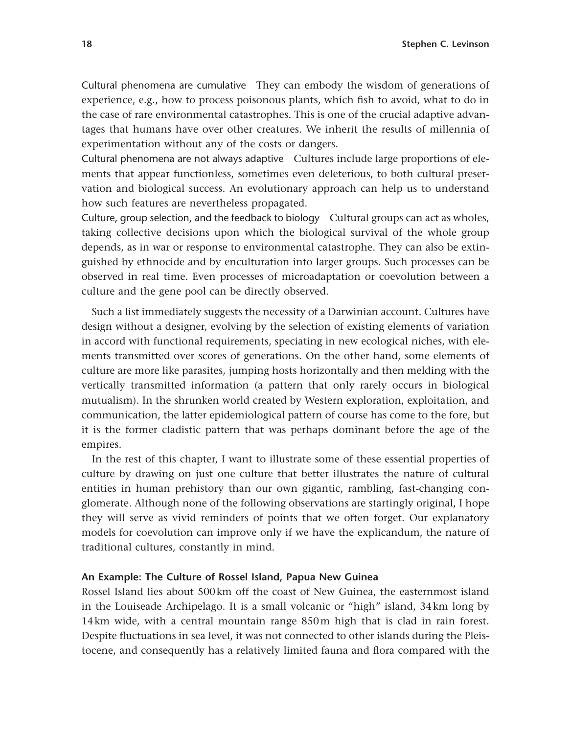Cultural phenomena are cumulative They can embody the wisdom of generations of experience, e.g., how to process poisonous plants, which fish to avoid, what to do in the case of rare environmental catastrophes. This is one of the crucial adaptive advantages that humans have over other creatures. We inherit the results of millennia of experimentation without any of the costs or dangers.

Cultural phenomena are not always adaptive Cultures include large proportions of elements that appear functionless, sometimes even deleterious, to both cultural preservation and biological success. An evolutionary approach can help us to understand how such features are nevertheless propagated.

Culture, group selection, and the feedback to biology Cultural groups can act as wholes, taking collective decisions upon which the biological survival of the whole group depends, as in war or response to environmental catastrophe. They can also be extinguished by ethnocide and by enculturation into larger groups. Such processes can be observed in real time. Even processes of microadaptation or coevolution between a culture and the gene pool can be directly observed.

Such a list immediately suggests the necessity of a Darwinian account. Cultures have design without a designer, evolving by the selection of existing elements of variation in accord with functional requirements, speciating in new ecological niches, with elements transmitted over scores of generations. On the other hand, some elements of culture are more like parasites, jumping hosts horizontally and then melding with the vertically transmitted information (a pattern that only rarely occurs in biological mutualism). In the shrunken world created by Western exploration, exploitation, and communication, the latter epidemiological pattern of course has come to the fore, but it is the former cladistic pattern that was perhaps dominant before the age of the empires.

In the rest of this chapter, I want to illustrate some of these essential properties of culture by drawing on just one culture that better illustrates the nature of cultural entities in human prehistory than our own gigantic, rambling, fast-changing conglomerate. Although none of the following observations are startingly original, I hope they will serve as vivid reminders of points that we often forget. Our explanatory models for coevolution can improve only if we have the explicandum, the nature of traditional cultures, constantly in mind.

## **An Example: The Culture of Rossel Island, Papua New Guinea**

Rossel Island lies about 500km off the coast of New Guinea, the easternmost island in the Louiseade Archipelago. It is a small volcanic or "high" island, 34km long by 14km wide, with a central mountain range 850m high that is clad in rain forest. Despite fluctuations in sea level, it was not connected to other islands during the Pleistocene, and consequently has a relatively limited fauna and flora compared with the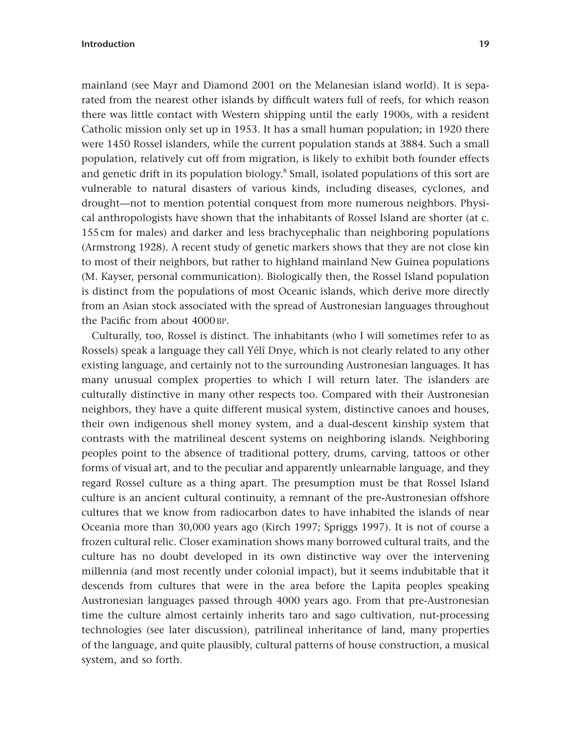mainland (see Mayr and Diamond 2001 on the Melanesian island world). It is separated from the nearest other islands by difficult waters full of reefs, for which reason there was little contact with Western shipping until the early 1900s, with a resident Catholic mission only set up in 1953. It has a small human population; in 1920 there were 1450 Rossel islanders, while the current population stands at 3884. Such a small population, relatively cut off from migration, is likely to exhibit both founder effects and genetic drift in its population biology.<sup>8</sup> Small, isolated populations of this sort are vulnerable to natural disasters of various kinds, including diseases, cyclones, and drought—not to mention potential conquest from more numerous neighbors. Physical anthropologists have shown that the inhabitants of Rossel Island are shorter (at c. 155cm for males) and darker and less brachycephalic than neighboring populations (Armstrong 1928). A recent study of genetic markers shows that they are not close kin to most of their neighbors, but rather to highland mainland New Guinea populations (M. Kayser, personal communication). Biologically then, the Rossel Island population is distinct from the populations of most Oceanic islands, which derive more directly from an Asian stock associated with the spread of Austronesian languages throughout the Pacific from about 4000 BP.

Culturally, too, Rossel is distinct. The inhabitants (who I will sometimes refer to as Rossels) speak a language they call Yélî Dnye, which is not clearly related to any other existing language, and certainly not to the surrounding Austronesian languages. It has many unusual complex properties to which I will return later. The islanders are culturally distinctive in many other respects too. Compared with their Austronesian neighbors, they have a quite different musical system, distinctive canoes and houses, their own indigenous shell money system, and a dual-descent kinship system that contrasts with the matrilineal descent systems on neighboring islands. Neighboring peoples point to the absence of traditional pottery, drums, carving, tattoos or other forms of visual art, and to the peculiar and apparently unlearnable language, and they regard Rossel culture as a thing apart. The presumption must be that Rossel Island culture is an ancient cultural continuity, a remnant of the pre-Austronesian offshore cultures that we know from radiocarbon dates to have inhabited the islands of near Oceania more than 30,000 years ago (Kirch 1997; Spriggs 1997). It is not of course a frozen cultural relic. Closer examination shows many borrowed cultural traits, and the culture has no doubt developed in its own distinctive way over the intervening millennia (and most recently under colonial impact), but it seems indubitable that it descends from cultures that were in the area before the Lapita peoples speaking Austronesian languages passed through 4000 years ago. From that pre-Austronesian time the culture almost certainly inherits taro and sago cultivation, nut-processing technologies (see later discussion), patrilineal inheritance of land, many properties of the language, and quite plausibly, cultural patterns of house construction, a musical system, and so forth.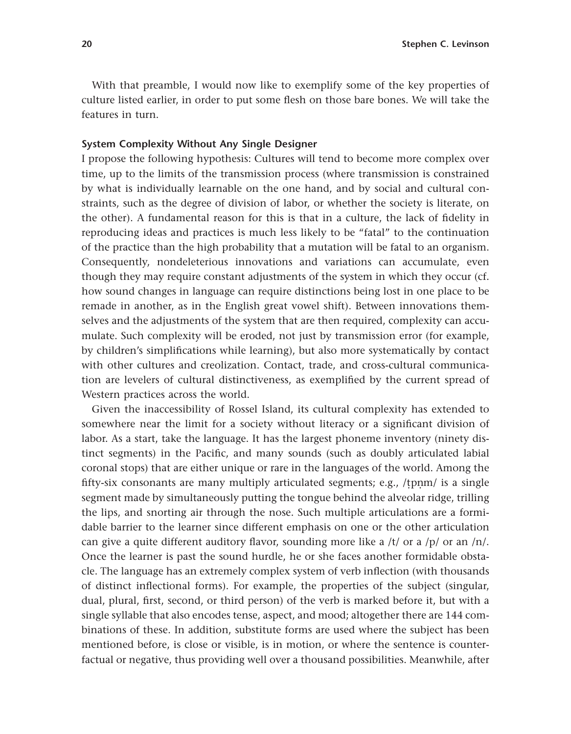With that preamble, I would now like to exemplify some of the key properties of culture listed earlier, in order to put some flesh on those bare bones. We will take the features in turn.

## **System Complexity Without Any Single Designer**

I propose the following hypothesis: Cultures will tend to become more complex over time, up to the limits of the transmission process (where transmission is constrained by what is individually learnable on the one hand, and by social and cultural constraints, such as the degree of division of labor, or whether the society is literate, on the other). A fundamental reason for this is that in a culture, the lack of fidelity in reproducing ideas and practices is much less likely to be "fatal" to the continuation of the practice than the high probability that a mutation will be fatal to an organism. Consequently, nondeleterious innovations and variations can accumulate, even though they may require constant adjustments of the system in which they occur (cf. how sound changes in language can require distinctions being lost in one place to be remade in another, as in the English great vowel shift). Between innovations themselves and the adjustments of the system that are then required, complexity can accumulate. Such complexity will be eroded, not just by transmission error (for example, by children's simplifications while learning), but also more systematically by contact with other cultures and creolization. Contact, trade, and cross-cultural communication are levelers of cultural distinctiveness, as exemplified by the current spread of Western practices across the world.

Given the inaccessibility of Rossel Island, its cultural complexity has extended to somewhere near the limit for a society without literacy or a significant division of labor. As a start, take the language. It has the largest phoneme inventory (ninety distinct segments) in the Pacific, and many sounds (such as doubly articulated labial coronal stops) that are either unique or rare in the languages of the world. Among the fifty-six consonants are many multiply articulated segments; e.g.,  $\frac{1}{12}$  is a single segment made by simultaneously putting the tongue behind the alveolar ridge, trilling the lips, and snorting air through the nose. Such multiple articulations are a formidable barrier to the learner since different emphasis on one or the other articulation can give a quite different auditory flavor, sounding more like a  $/t/$  or a  $/p/$  or an  $/n/$ . Once the learner is past the sound hurdle, he or she faces another formidable obstacle. The language has an extremely complex system of verb inflection (with thousands of distinct inflectional forms). For example, the properties of the subject (singular, dual, plural, first, second, or third person) of the verb is marked before it, but with a single syllable that also encodes tense, aspect, and mood; altogether there are 144 combinations of these. In addition, substitute forms are used where the subject has been mentioned before, is close or visible, is in motion, or where the sentence is counterfactual or negative, thus providing well over a thousand possibilities. Meanwhile, after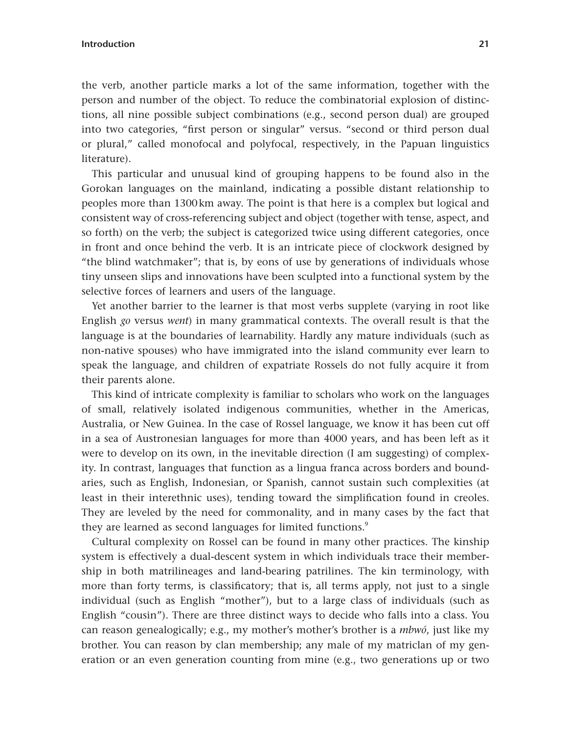the verb, another particle marks a lot of the same information, together with the person and number of the object. To reduce the combinatorial explosion of distinctions, all nine possible subject combinations (e.g., second person dual) are grouped into two categories, "first person or singular" versus. "second or third person dual or plural," called monofocal and polyfocal, respectively, in the Papuan linguistics literature).

This particular and unusual kind of grouping happens to be found also in the Gorokan languages on the mainland, indicating a possible distant relationship to peoples more than 1300km away. The point is that here is a complex but logical and consistent way of cross-referencing subject and object (together with tense, aspect, and so forth) on the verb; the subject is categorized twice using different categories, once in front and once behind the verb. It is an intricate piece of clockwork designed by "the blind watchmaker"; that is, by eons of use by generations of individuals whose tiny unseen slips and innovations have been sculpted into a functional system by the selective forces of learners and users of the language.

Yet another barrier to the learner is that most verbs supplete (varying in root like English *go* versus *went*) in many grammatical contexts. The overall result is that the language is at the boundaries of learnability. Hardly any mature individuals (such as non-native spouses) who have immigrated into the island community ever learn to speak the language, and children of expatriate Rossels do not fully acquire it from their parents alone.

This kind of intricate complexity is familiar to scholars who work on the languages of small, relatively isolated indigenous communities, whether in the Americas, Australia, or New Guinea. In the case of Rossel language, we know it has been cut off in a sea of Austronesian languages for more than 4000 years, and has been left as it were to develop on its own, in the inevitable direction (I am suggesting) of complexity. In contrast, languages that function as a lingua franca across borders and boundaries, such as English, Indonesian, or Spanish, cannot sustain such complexities (at least in their interethnic uses), tending toward the simplification found in creoles. They are leveled by the need for commonality, and in many cases by the fact that they are learned as second languages for limited functions.<sup>9</sup>

Cultural complexity on Rossel can be found in many other practices. The kinship system is effectively a dual-descent system in which individuals trace their membership in both matrilineages and land-bearing patrilines. The kin terminology, with more than forty terms, is classificatory; that is, all terms apply, not just to a single individual (such as English "mother"), but to a large class of individuals (such as English "cousin"). There are three distinct ways to decide who falls into a class. You can reason genealogically; e.g., my mother's mother's brother is a *mbwó*, just like my brother. You can reason by clan membership; any male of my matriclan of my generation or an even generation counting from mine (e.g., two generations up or two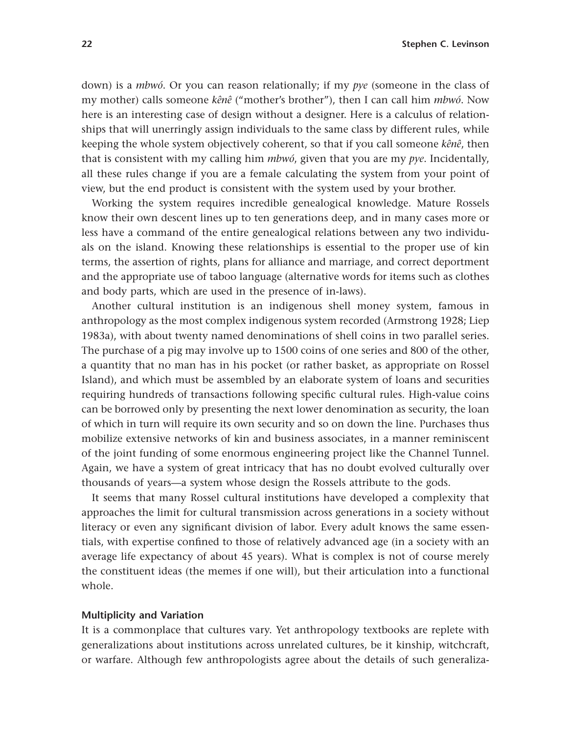down) is a *mbwó*. Or you can reason relationally; if my *pye* (someone in the class of my mother) calls someone *kênê* ("mother's brother"), then I can call him *mbwó*. Now here is an interesting case of design without a designer. Here is a calculus of relationships that will unerringly assign individuals to the same class by different rules, while keeping the whole system objectively coherent, so that if you call someone *kênê*, then that is consistent with my calling him *mbwó*, given that you are my *pye*. Incidentally, all these rules change if you are a female calculating the system from your point of view, but the end product is consistent with the system used by your brother.

Working the system requires incredible genealogical knowledge. Mature Rossels know their own descent lines up to ten generations deep, and in many cases more or less have a command of the entire genealogical relations between any two individuals on the island. Knowing these relationships is essential to the proper use of kin terms, the assertion of rights, plans for alliance and marriage, and correct deportment and the appropriate use of taboo language (alternative words for items such as clothes and body parts, which are used in the presence of in-laws).

Another cultural institution is an indigenous shell money system, famous in anthropology as the most complex indigenous system recorded (Armstrong 1928; Liep 1983a), with about twenty named denominations of shell coins in two parallel series. The purchase of a pig may involve up to 1500 coins of one series and 800 of the other, a quantity that no man has in his pocket (or rather basket, as appropriate on Rossel Island), and which must be assembled by an elaborate system of loans and securities requiring hundreds of transactions following specific cultural rules. High-value coins can be borrowed only by presenting the next lower denomination as security, the loan of which in turn will require its own security and so on down the line. Purchases thus mobilize extensive networks of kin and business associates, in a manner reminiscent of the joint funding of some enormous engineering project like the Channel Tunnel. Again, we have a system of great intricacy that has no doubt evolved culturally over thousands of years—a system whose design the Rossels attribute to the gods.

It seems that many Rossel cultural institutions have developed a complexity that approaches the limit for cultural transmission across generations in a society without literacy or even any significant division of labor. Every adult knows the same essentials, with expertise confined to those of relatively advanced age (in a society with an average life expectancy of about 45 years). What is complex is not of course merely the constituent ideas (the memes if one will), but their articulation into a functional whole.

#### **Multiplicity and Variation**

It is a commonplace that cultures vary. Yet anthropology textbooks are replete with generalizations about institutions across unrelated cultures, be it kinship, witchcraft, or warfare. Although few anthropologists agree about the details of such generaliza-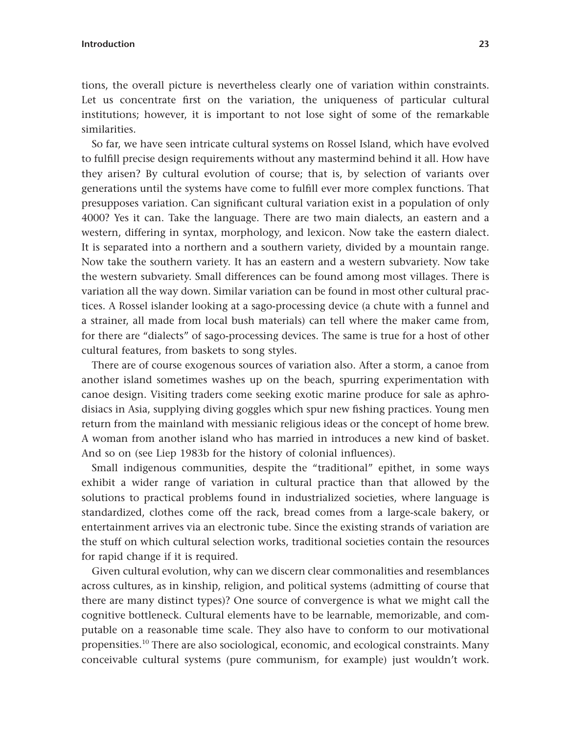tions, the overall picture is nevertheless clearly one of variation within constraints. Let us concentrate first on the variation, the uniqueness of particular cultural institutions; however, it is important to not lose sight of some of the remarkable similarities.

So far, we have seen intricate cultural systems on Rossel Island, which have evolved to fulfill precise design requirements without any mastermind behind it all. How have they arisen? By cultural evolution of course; that is, by selection of variants over generations until the systems have come to fulfill ever more complex functions. That presupposes variation. Can significant cultural variation exist in a population of only 4000? Yes it can. Take the language. There are two main dialects, an eastern and a western, differing in syntax, morphology, and lexicon. Now take the eastern dialect. It is separated into a northern and a southern variety, divided by a mountain range. Now take the southern variety. It has an eastern and a western subvariety. Now take the western subvariety. Small differences can be found among most villages. There is variation all the way down. Similar variation can be found in most other cultural practices. A Rossel islander looking at a sago-processing device (a chute with a funnel and a strainer, all made from local bush materials) can tell where the maker came from, for there are "dialects" of sago-processing devices. The same is true for a host of other cultural features, from baskets to song styles.

There are of course exogenous sources of variation also. After a storm, a canoe from another island sometimes washes up on the beach, spurring experimentation with canoe design. Visiting traders come seeking exotic marine produce for sale as aphrodisiacs in Asia, supplying diving goggles which spur new fishing practices. Young men return from the mainland with messianic religious ideas or the concept of home brew. A woman from another island who has married in introduces a new kind of basket. And so on (see Liep 1983b for the history of colonial influences).

Small indigenous communities, despite the "traditional" epithet, in some ways exhibit a wider range of variation in cultural practice than that allowed by the solutions to practical problems found in industrialized societies, where language is standardized, clothes come off the rack, bread comes from a large-scale bakery, or entertainment arrives via an electronic tube. Since the existing strands of variation are the stuff on which cultural selection works, traditional societies contain the resources for rapid change if it is required.

Given cultural evolution, why can we discern clear commonalities and resemblances across cultures, as in kinship, religion, and political systems (admitting of course that there are many distinct types)? One source of convergence is what we might call the cognitive bottleneck. Cultural elements have to be learnable, memorizable, and computable on a reasonable time scale. They also have to conform to our motivational propensities.10 There are also sociological, economic, and ecological constraints. Many conceivable cultural systems (pure communism, for example) just wouldn't work.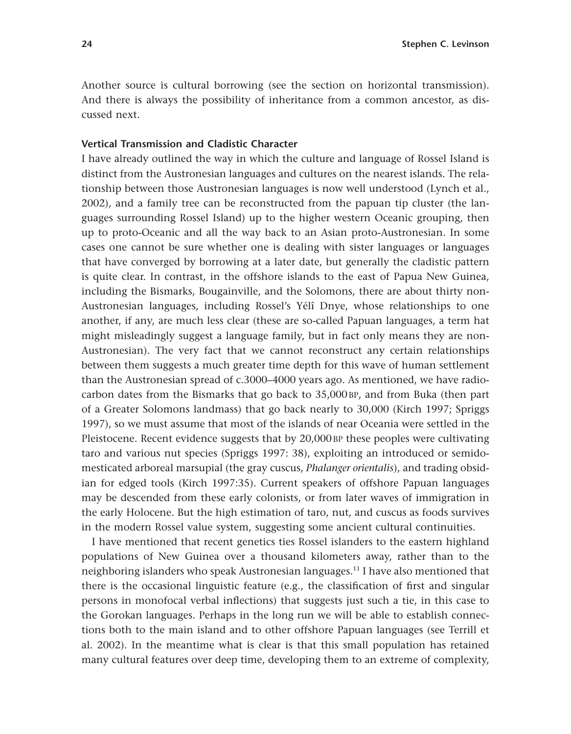Another source is cultural borrowing (see the section on horizontal transmission). And there is always the possibility of inheritance from a common ancestor, as discussed next.

## **Vertical Transmission and Cladistic Character**

I have already outlined the way in which the culture and language of Rossel Island is distinct from the Austronesian languages and cultures on the nearest islands. The relationship between those Austronesian languages is now well understood (Lynch et al., 2002), and a family tree can be reconstructed from the papuan tip cluster (the languages surrounding Rossel Island) up to the higher western Oceanic grouping, then up to proto-Oceanic and all the way back to an Asian proto-Austronesian. In some cases one cannot be sure whether one is dealing with sister languages or languages that have converged by borrowing at a later date, but generally the cladistic pattern is quite clear. In contrast, in the offshore islands to the east of Papua New Guinea, including the Bismarks, Bougainville, and the Solomons, there are about thirty non-Austronesian languages, including Rossel's Yélî Dnye, whose relationships to one another, if any, are much less clear (these are so-called Papuan languages, a term hat might misleadingly suggest a language family, but in fact only means they are non-Austronesian). The very fact that we cannot reconstruct any certain relationships between them suggests a much greater time depth for this wave of human settlement than the Austronesian spread of c.3000–4000 years ago. As mentioned, we have radiocarbon dates from the Bismarks that go back to 35,000 BP, and from Buka (then part of a Greater Solomons landmass) that go back nearly to 30,000 (Kirch 1997; Spriggs 1997), so we must assume that most of the islands of near Oceania were settled in the Pleistocene. Recent evidence suggests that by 20,000 BP these peoples were cultivating taro and various nut species (Spriggs 1997: 38), exploiting an introduced or semidomesticated arboreal marsupial (the gray cuscus, *Phalanger orientalis*), and trading obsidian for edged tools (Kirch 1997:35). Current speakers of offshore Papuan languages may be descended from these early colonists, or from later waves of immigration in the early Holocene. But the high estimation of taro, nut, and cuscus as foods survives in the modern Rossel value system, suggesting some ancient cultural continuities.

I have mentioned that recent genetics ties Rossel islanders to the eastern highland populations of New Guinea over a thousand kilometers away, rather than to the neighboring islanders who speak Austronesian languages.11 I have also mentioned that there is the occasional linguistic feature (e.g., the classification of first and singular persons in monofocal verbal inflections) that suggests just such a tie, in this case to the Gorokan languages. Perhaps in the long run we will be able to establish connections both to the main island and to other offshore Papuan languages (see Terrill et al. 2002). In the meantime what is clear is that this small population has retained many cultural features over deep time, developing them to an extreme of complexity,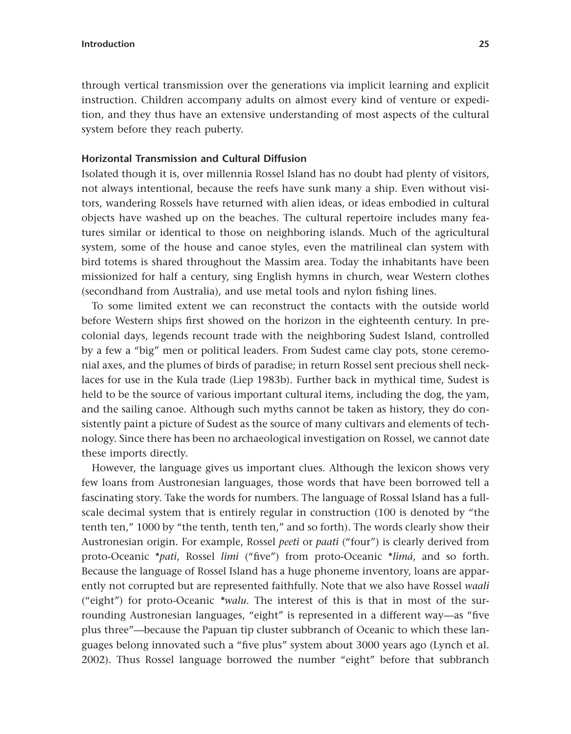through vertical transmission over the generations via implicit learning and explicit instruction. Children accompany adults on almost every kind of venture or expedition, and they thus have an extensive understanding of most aspects of the cultural system before they reach puberty.

## **Horizontal Transmission and Cultural Diffusion**

Isolated though it is, over millennia Rossel Island has no doubt had plenty of visitors, not always intentional, because the reefs have sunk many a ship. Even without visitors, wandering Rossels have returned with alien ideas, or ideas embodied in cultural objects have washed up on the beaches. The cultural repertoire includes many features similar or identical to those on neighboring islands. Much of the agricultural system, some of the house and canoe styles, even the matrilineal clan system with bird totems is shared throughout the Massim area. Today the inhabitants have been missionized for half a century, sing English hymns in church, wear Western clothes (secondhand from Australia), and use metal tools and nylon fishing lines.

To some limited extent we can reconstruct the contacts with the outside world before Western ships first showed on the horizon in the eighteenth century. In precolonial days, legends recount trade with the neighboring Sudest Island, controlled by a few a "big" men or political leaders. From Sudest came clay pots, stone ceremonial axes, and the plumes of birds of paradise; in return Rossel sent precious shell necklaces for use in the Kula trade (Liep 1983b). Further back in mythical time, Sudest is held to be the source of various important cultural items, including the dog, the yam, and the sailing canoe. Although such myths cannot be taken as history, they do consistently paint a picture of Sudest as the source of many cultivars and elements of technology. Since there has been no archaeological investigation on Rossel, we cannot date these imports directly.

However, the language gives us important clues. Although the lexicon shows very few loans from Austronesian languages, those words that have been borrowed tell a fascinating story. Take the words for numbers. The language of Rossal Island has a fullscale decimal system that is entirely regular in construction (100 is denoted by "the tenth ten," 1000 by "the tenth, tenth ten," and so forth). The words clearly show their Austronesian origin. For example, Rossel *peeti* or *paati* ("four") is clearly derived from proto-Oceanic \**pati*, Rossel *limi* ("five") from proto-Oceanic \**limá*, and so forth. Because the language of Rossel Island has a huge phoneme inventory, loans are apparently not corrupted but are represented faithfully. Note that we also have Rossel *waali* ("eight") for proto-Oceanic *\*walu*. The interest of this is that in most of the surrounding Austronesian languages, "eight" is represented in a different way—as "five plus three"—because the Papuan tip cluster subbranch of Oceanic to which these languages belong innovated such a "five plus" system about 3000 years ago (Lynch et al. 2002). Thus Rossel language borrowed the number "eight" before that subbranch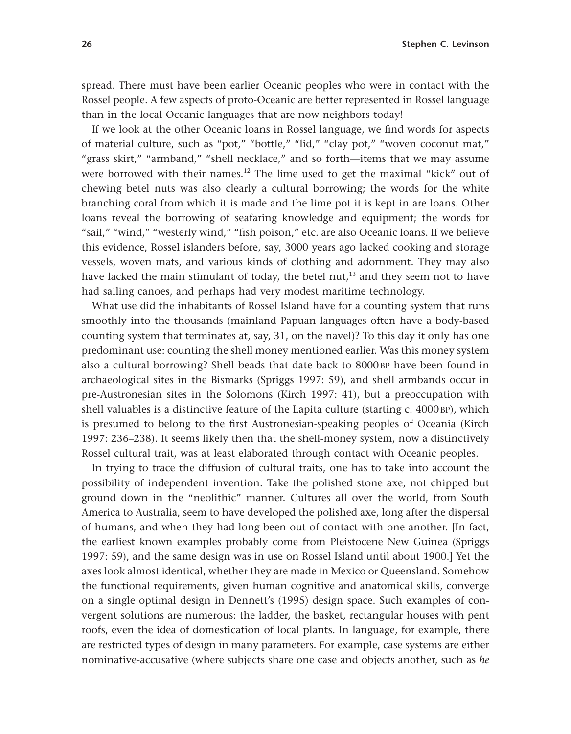spread. There must have been earlier Oceanic peoples who were in contact with the Rossel people. A few aspects of proto-Oceanic are better represented in Rossel language than in the local Oceanic languages that are now neighbors today!

If we look at the other Oceanic loans in Rossel language, we find words for aspects of material culture, such as "pot," "bottle," "lid," "clay pot," "woven coconut mat," "grass skirt," "armband," "shell necklace," and so forth—items that we may assume were borrowed with their names.<sup>12</sup> The lime used to get the maximal "kick" out of chewing betel nuts was also clearly a cultural borrowing; the words for the white branching coral from which it is made and the lime pot it is kept in are loans. Other loans reveal the borrowing of seafaring knowledge and equipment; the words for "sail," "wind," "westerly wind," "fish poison," etc. are also Oceanic loans. If we believe this evidence, Rossel islanders before, say, 3000 years ago lacked cooking and storage vessels, woven mats, and various kinds of clothing and adornment. They may also have lacked the main stimulant of today, the betel nut, $^{13}$  and they seem not to have had sailing canoes, and perhaps had very modest maritime technology.

What use did the inhabitants of Rossel Island have for a counting system that runs smoothly into the thousands (mainland Papuan languages often have a body-based counting system that terminates at, say, 31, on the navel)? To this day it only has one predominant use: counting the shell money mentioned earlier. Was this money system also a cultural borrowing? Shell beads that date back to 8000BP have been found in archaeological sites in the Bismarks (Spriggs 1997: 59), and shell armbands occur in pre-Austronesian sites in the Solomons (Kirch 1997: 41), but a preoccupation with shell valuables is a distinctive feature of the Lapita culture (starting c. 4000BP), which is presumed to belong to the first Austronesian-speaking peoples of Oceania (Kirch 1997: 236–238). It seems likely then that the shell-money system, now a distinctively Rossel cultural trait, was at least elaborated through contact with Oceanic peoples.

In trying to trace the diffusion of cultural traits, one has to take into account the possibility of independent invention. Take the polished stone axe, not chipped but ground down in the "neolithic" manner. Cultures all over the world, from South America to Australia, seem to have developed the polished axe, long after the dispersal of humans, and when they had long been out of contact with one another. [In fact, the earliest known examples probably come from Pleistocene New Guinea (Spriggs 1997: 59), and the same design was in use on Rossel Island until about 1900.] Yet the axes look almost identical, whether they are made in Mexico or Queensland. Somehow the functional requirements, given human cognitive and anatomical skills, converge on a single optimal design in Dennett's (1995) design space. Such examples of convergent solutions are numerous: the ladder, the basket, rectangular houses with pent roofs, even the idea of domestication of local plants. In language, for example, there are restricted types of design in many parameters. For example, case systems are either nominative-accusative (where subjects share one case and objects another, such as *he*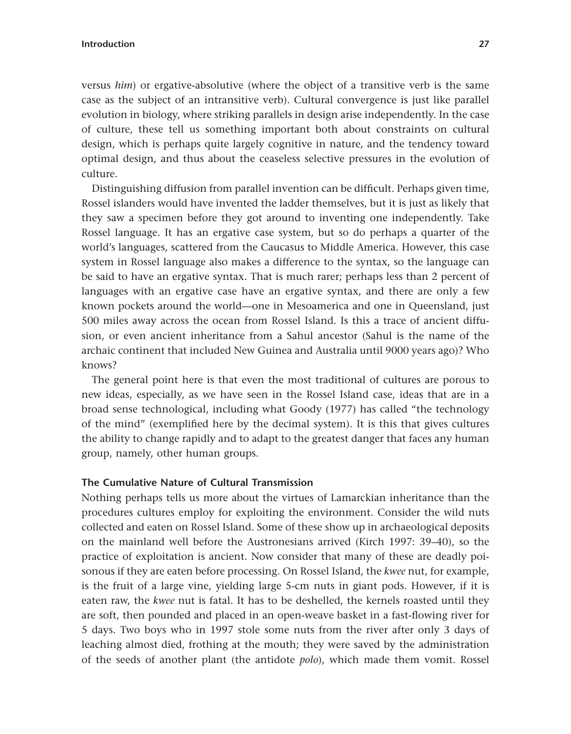versus *him*) or ergative-absolutive (where the object of a transitive verb is the same case as the subject of an intransitive verb). Cultural convergence is just like parallel evolution in biology, where striking parallels in design arise independently. In the case of culture, these tell us something important both about constraints on cultural design, which is perhaps quite largely cognitive in nature, and the tendency toward optimal design, and thus about the ceaseless selective pressures in the evolution of culture.

Distinguishing diffusion from parallel invention can be difficult. Perhaps given time, Rossel islanders would have invented the ladder themselves, but it is just as likely that they saw a specimen before they got around to inventing one independently. Take Rossel language. It has an ergative case system, but so do perhaps a quarter of the world's languages, scattered from the Caucasus to Middle America. However, this case system in Rossel language also makes a difference to the syntax, so the language can be said to have an ergative syntax. That is much rarer; perhaps less than 2 percent of languages with an ergative case have an ergative syntax, and there are only a few known pockets around the world—one in Mesoamerica and one in Queensland, just 500 miles away across the ocean from Rossel Island. Is this a trace of ancient diffusion, or even ancient inheritance from a Sahul ancestor (Sahul is the name of the archaic continent that included New Guinea and Australia until 9000 years ago)? Who knows?

The general point here is that even the most traditional of cultures are porous to new ideas, especially, as we have seen in the Rossel Island case, ideas that are in a broad sense technological, including what Goody (1977) has called "the technology of the mind" (exemplified here by the decimal system). It is this that gives cultures the ability to change rapidly and to adapt to the greatest danger that faces any human group, namely, other human groups.

## **The Cumulative Nature of Cultural Transmission**

Nothing perhaps tells us more about the virtues of Lamarckian inheritance than the procedures cultures employ for exploiting the environment. Consider the wild nuts collected and eaten on Rossel Island. Some of these show up in archaeological deposits on the mainland well before the Austronesians arrived (Kirch 1997: 39–40), so the practice of exploitation is ancient. Now consider that many of these are deadly poisonous if they are eaten before processing. On Rossel Island, the *kwee* nut, for example, is the fruit of a large vine, yielding large 5-cm nuts in giant pods. However, if it is eaten raw, the *kwee* nut is fatal. It has to be deshelled, the kernels roasted until they are soft, then pounded and placed in an open-weave basket in a fast-flowing river for 5 days. Two boys who in 1997 stole some nuts from the river after only 3 days of leaching almost died, frothing at the mouth; they were saved by the administration of the seeds of another plant (the antidote *polo*), which made them vomit. Rossel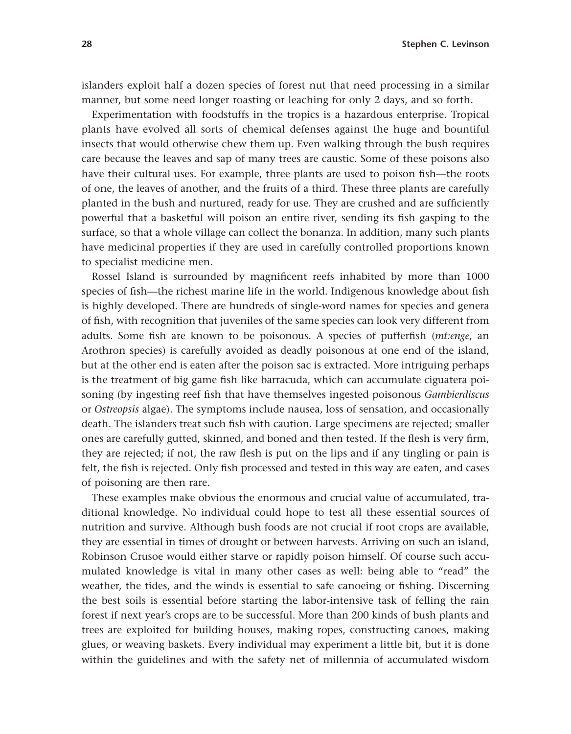islanders exploit half a dozen species of forest nut that need processing in a similar manner, but some need longer roasting or leaching for only 2 days, and so forth.

Experimentation with foodstuffs in the tropics is a hazardous enterprise. Tropical plants have evolved all sorts of chemical defenses against the huge and bountiful insects that would otherwise chew them up. Even walking through the bush requires care because the leaves and sap of many trees are caustic. Some of these poisons also have their cultural uses. For example, three plants are used to poison fish—the roots of one, the leaves of another, and the fruits of a third. These three plants are carefully planted in the bush and nurtured, ready for use. They are crushed and are sufficiently powerful that a basketful will poison an entire river, sending its fish gasping to the surface, so that a whole village can collect the bonanza. In addition, many such plants have medicinal properties if they are used in carefully controlled proportions known to specialist medicine men.

Rossel Island is surrounded by magnificent reefs inhabited by more than 1000 species of fish—the richest marine life in the world. Indigenous knowledge about fish is highly developed. There are hundreds of single-word names for species and genera of fish, with recognition that juveniles of the same species can look very different from adults. Some fish are known to be poisonous. A species of pufferfish (*mt:enge*, an Arothron species) is carefully avoided as deadly poisonous at one end of the island, but at the other end is eaten after the poison sac is extracted. More intriguing perhaps is the treatment of big game fish like barracuda, which can accumulate ciguatera poisoning (by ingesting reef fish that have themselves ingested poisonous *Gambierdiscus* or *Ostreopsis* algae). The symptoms include nausea, loss of sensation, and occasionally death. The islanders treat such fish with caution. Large specimens are rejected; smaller ones are carefully gutted, skinned, and boned and then tested. If the flesh is very firm, they are rejected; if not, the raw flesh is put on the lips and if any tingling or pain is felt, the fish is rejected. Only fish processed and tested in this way are eaten, and cases of poisoning are then rare.

These examples make obvious the enormous and crucial value of accumulated, traditional knowledge. No individual could hope to test all these essential sources of nutrition and survive. Although bush foods are not crucial if root crops are available, they are essential in times of drought or between harvests. Arriving on such an island, Robinson Crusoe would either starve or rapidly poison himself. Of course such accumulated knowledge is vital in many other cases as well: being able to "read" the weather, the tides, and the winds is essential to safe canoeing or fishing. Discerning the best soils is essential before starting the labor-intensive task of felling the rain forest if next year's crops are to be successful. More than 200 kinds of bush plants and trees are exploited for building houses, making ropes, constructing canoes, making glues, or weaving baskets. Every individual may experiment a little bit, but it is done within the guidelines and with the safety net of millennia of accumulated wisdom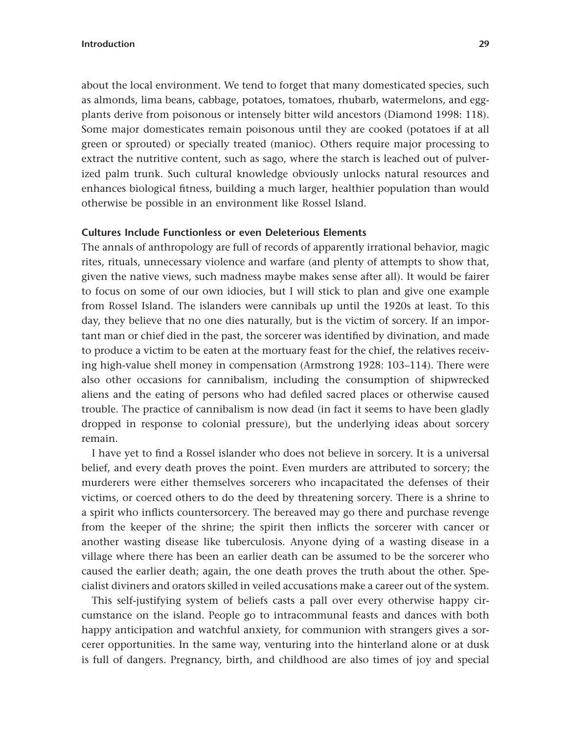about the local environment. We tend to forget that many domesticated species, such as almonds, lima beans, cabbage, potatoes, tomatoes, rhubarb, watermelons, and eggplants derive from poisonous or intensely bitter wild ancestors (Diamond 1998: 118). Some major domesticates remain poisonous until they are cooked (potatoes if at all green or sprouted) or specially treated (manioc). Others require major processing to extract the nutritive content, such as sago, where the starch is leached out of pulverized palm trunk. Such cultural knowledge obviously unlocks natural resources and enhances biological fitness, building a much larger, healthier population than would otherwise be possible in an environment like Rossel Island.

## **Cultures Include Functionless or even Deleterious Elements**

The annals of anthropology are full of records of apparently irrational behavior, magic rites, rituals, unnecessary violence and warfare (and plenty of attempts to show that, given the native views, such madness maybe makes sense after all). It would be fairer to focus on some of our own idiocies, but I will stick to plan and give one example from Rossel Island. The islanders were cannibals up until the 1920s at least. To this day, they believe that no one dies naturally, but is the victim of sorcery. If an important man or chief died in the past, the sorcerer was identified by divination, and made to produce a victim to be eaten at the mortuary feast for the chief, the relatives receiving high-value shell money in compensation (Armstrong 1928: 103–114). There were also other occasions for cannibalism, including the consumption of shipwrecked aliens and the eating of persons who had defiled sacred places or otherwise caused trouble. The practice of cannibalism is now dead (in fact it seems to have been gladly dropped in response to colonial pressure), but the underlying ideas about sorcery remain.

I have yet to find a Rossel islander who does not believe in sorcery. It is a universal belief, and every death proves the point. Even murders are attributed to sorcery; the murderers were either themselves sorcerers who incapacitated the defenses of their victims, or coerced others to do the deed by threatening sorcery. There is a shrine to a spirit who inflicts countersorcery. The bereaved may go there and purchase revenge from the keeper of the shrine; the spirit then inflicts the sorcerer with cancer or another wasting disease like tuberculosis. Anyone dying of a wasting disease in a village where there has been an earlier death can be assumed to be the sorcerer who caused the earlier death; again, the one death proves the truth about the other. Specialist diviners and orators skilled in veiled accusations make a career out of the system.

This self-justifying system of beliefs casts a pall over every otherwise happy circumstance on the island. People go to intracommunal feasts and dances with both happy anticipation and watchful anxiety, for communion with strangers gives a sorcerer opportunities. In the same way, venturing into the hinterland alone or at dusk is full of dangers. Pregnancy, birth, and childhood are also times of joy and special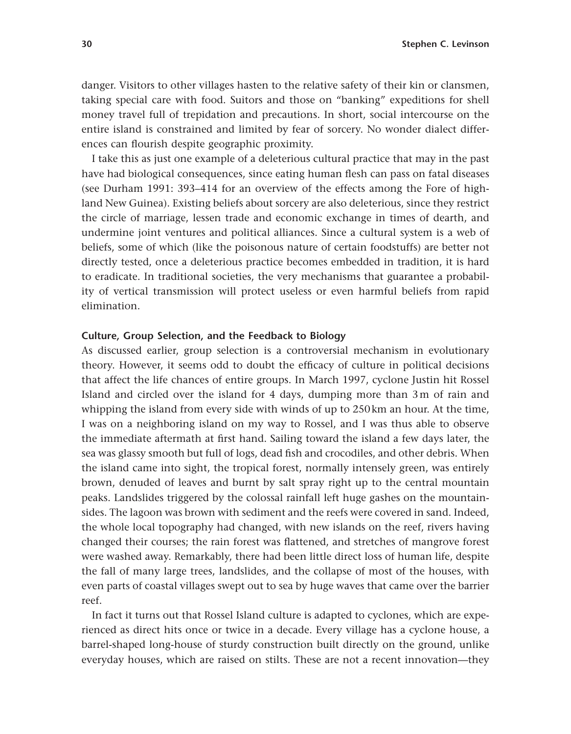danger. Visitors to other villages hasten to the relative safety of their kin or clansmen, taking special care with food. Suitors and those on "banking" expeditions for shell money travel full of trepidation and precautions. In short, social intercourse on the entire island is constrained and limited by fear of sorcery. No wonder dialect differences can flourish despite geographic proximity.

I take this as just one example of a deleterious cultural practice that may in the past have had biological consequences, since eating human flesh can pass on fatal diseases (see Durham 1991: 393–414 for an overview of the effects among the Fore of highland New Guinea). Existing beliefs about sorcery are also deleterious, since they restrict the circle of marriage, lessen trade and economic exchange in times of dearth, and undermine joint ventures and political alliances. Since a cultural system is a web of beliefs, some of which (like the poisonous nature of certain foodstuffs) are better not directly tested, once a deleterious practice becomes embedded in tradition, it is hard to eradicate. In traditional societies, the very mechanisms that guarantee a probability of vertical transmission will protect useless or even harmful beliefs from rapid elimination.

### **Culture, Group Selection, and the Feedback to Biology**

As discussed earlier, group selection is a controversial mechanism in evolutionary theory. However, it seems odd to doubt the efficacy of culture in political decisions that affect the life chances of entire groups. In March 1997, cyclone Justin hit Rossel Island and circled over the island for 4 days, dumping more than 3m of rain and whipping the island from every side with winds of up to 250km an hour. At the time, I was on a neighboring island on my way to Rossel, and I was thus able to observe the immediate aftermath at first hand. Sailing toward the island a few days later, the sea was glassy smooth but full of logs, dead fish and crocodiles, and other debris. When the island came into sight, the tropical forest, normally intensely green, was entirely brown, denuded of leaves and burnt by salt spray right up to the central mountain peaks. Landslides triggered by the colossal rainfall left huge gashes on the mountainsides. The lagoon was brown with sediment and the reefs were covered in sand. Indeed, the whole local topography had changed, with new islands on the reef, rivers having changed their courses; the rain forest was flattened, and stretches of mangrove forest were washed away. Remarkably, there had been little direct loss of human life, despite the fall of many large trees, landslides, and the collapse of most of the houses, with even parts of coastal villages swept out to sea by huge waves that came over the barrier reef.

In fact it turns out that Rossel Island culture is adapted to cyclones, which are experienced as direct hits once or twice in a decade. Every village has a cyclone house, a barrel-shaped long-house of sturdy construction built directly on the ground, unlike everyday houses, which are raised on stilts. These are not a recent innovation—they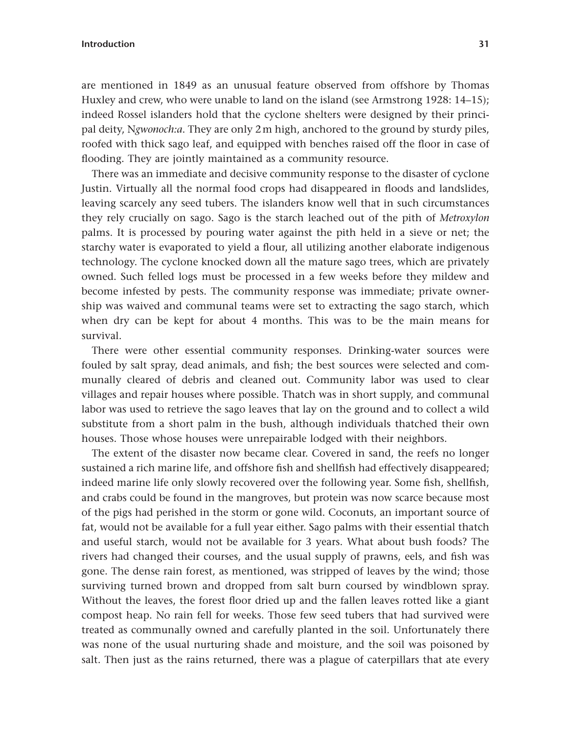are mentioned in 1849 as an unusual feature observed from offshore by Thomas Huxley and crew, who were unable to land on the island (see Armstrong 1928: 14–15); indeed Rossel islanders hold that the cyclone shelters were designed by their principal deity, N*gwonoch:a*. They are only 2m high, anchored to the ground by sturdy piles, roofed with thick sago leaf, and equipped with benches raised off the floor in case of flooding. They are jointly maintained as a community resource.

There was an immediate and decisive community response to the disaster of cyclone Justin. Virtually all the normal food crops had disappeared in floods and landslides, leaving scarcely any seed tubers. The islanders know well that in such circumstances they rely crucially on sago. Sago is the starch leached out of the pith of *Metroxylon* palms. It is processed by pouring water against the pith held in a sieve or net; the starchy water is evaporated to yield a flour, all utilizing another elaborate indigenous technology. The cyclone knocked down all the mature sago trees, which are privately owned. Such felled logs must be processed in a few weeks before they mildew and become infested by pests. The community response was immediate; private ownership was waived and communal teams were set to extracting the sago starch, which when dry can be kept for about 4 months. This was to be the main means for survival.

There were other essential community responses. Drinking-water sources were fouled by salt spray, dead animals, and fish; the best sources were selected and communally cleared of debris and cleaned out. Community labor was used to clear villages and repair houses where possible. Thatch was in short supply, and communal labor was used to retrieve the sago leaves that lay on the ground and to collect a wild substitute from a short palm in the bush, although individuals thatched their own houses. Those whose houses were unrepairable lodged with their neighbors.

The extent of the disaster now became clear. Covered in sand, the reefs no longer sustained a rich marine life, and offshore fish and shellfish had effectively disappeared; indeed marine life only slowly recovered over the following year. Some fish, shellfish, and crabs could be found in the mangroves, but protein was now scarce because most of the pigs had perished in the storm or gone wild. Coconuts, an important source of fat, would not be available for a full year either. Sago palms with their essential thatch and useful starch, would not be available for 3 years. What about bush foods? The rivers had changed their courses, and the usual supply of prawns, eels, and fish was gone. The dense rain forest, as mentioned, was stripped of leaves by the wind; those surviving turned brown and dropped from salt burn coursed by windblown spray. Without the leaves, the forest floor dried up and the fallen leaves rotted like a giant compost heap. No rain fell for weeks. Those few seed tubers that had survived were treated as communally owned and carefully planted in the soil. Unfortunately there was none of the usual nurturing shade and moisture, and the soil was poisoned by salt. Then just as the rains returned, there was a plague of caterpillars that ate every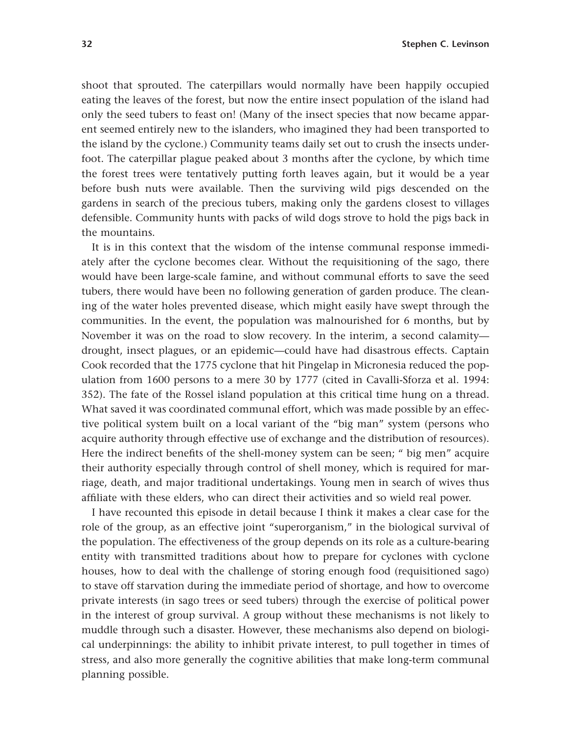shoot that sprouted. The caterpillars would normally have been happily occupied eating the leaves of the forest, but now the entire insect population of the island had only the seed tubers to feast on! (Many of the insect species that now became apparent seemed entirely new to the islanders, who imagined they had been transported to the island by the cyclone.) Community teams daily set out to crush the insects underfoot. The caterpillar plague peaked about 3 months after the cyclone, by which time the forest trees were tentatively putting forth leaves again, but it would be a year before bush nuts were available. Then the surviving wild pigs descended on the gardens in search of the precious tubers, making only the gardens closest to villages defensible. Community hunts with packs of wild dogs strove to hold the pigs back in the mountains.

It is in this context that the wisdom of the intense communal response immediately after the cyclone becomes clear. Without the requisitioning of the sago, there would have been large-scale famine, and without communal efforts to save the seed tubers, there would have been no following generation of garden produce. The cleaning of the water holes prevented disease, which might easily have swept through the communities. In the event, the population was malnourished for 6 months, but by November it was on the road to slow recovery. In the interim, a second calamity drought, insect plagues, or an epidemic—could have had disastrous effects. Captain Cook recorded that the 1775 cyclone that hit Pingelap in Micronesia reduced the population from 1600 persons to a mere 30 by 1777 (cited in Cavalli-Sforza et al. 1994: 352). The fate of the Rossel island population at this critical time hung on a thread. What saved it was coordinated communal effort, which was made possible by an effective political system built on a local variant of the "big man" system (persons who acquire authority through effective use of exchange and the distribution of resources). Here the indirect benefits of the shell-money system can be seen; " big men" acquire their authority especially through control of shell money, which is required for marriage, death, and major traditional undertakings. Young men in search of wives thus affiliate with these elders, who can direct their activities and so wield real power.

I have recounted this episode in detail because I think it makes a clear case for the role of the group, as an effective joint "superorganism," in the biological survival of the population. The effectiveness of the group depends on its role as a culture-bearing entity with transmitted traditions about how to prepare for cyclones with cyclone houses, how to deal with the challenge of storing enough food (requisitioned sago) to stave off starvation during the immediate period of shortage, and how to overcome private interests (in sago trees or seed tubers) through the exercise of political power in the interest of group survival. A group without these mechanisms is not likely to muddle through such a disaster. However, these mechanisms also depend on biological underpinnings: the ability to inhibit private interest, to pull together in times of stress, and also more generally the cognitive abilities that make long-term communal planning possible.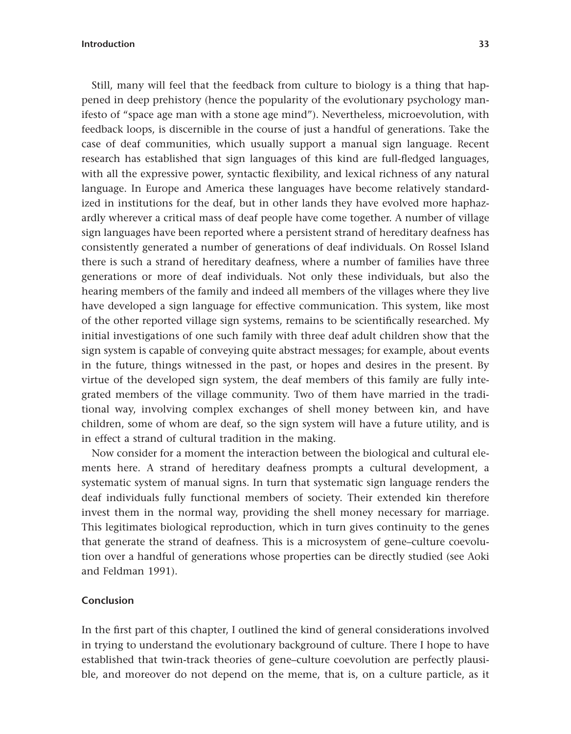Still, many will feel that the feedback from culture to biology is a thing that happened in deep prehistory (hence the popularity of the evolutionary psychology manifesto of "space age man with a stone age mind"). Nevertheless, microevolution, with feedback loops, is discernible in the course of just a handful of generations. Take the case of deaf communities, which usually support a manual sign language. Recent research has established that sign languages of this kind are full-fledged languages, with all the expressive power, syntactic flexibility, and lexical richness of any natural language. In Europe and America these languages have become relatively standardized in institutions for the deaf, but in other lands they have evolved more haphazardly wherever a critical mass of deaf people have come together. A number of village sign languages have been reported where a persistent strand of hereditary deafness has consistently generated a number of generations of deaf individuals. On Rossel Island there is such a strand of hereditary deafness, where a number of families have three generations or more of deaf individuals. Not only these individuals, but also the hearing members of the family and indeed all members of the villages where they live have developed a sign language for effective communication. This system, like most of the other reported village sign systems, remains to be scientifically researched. My initial investigations of one such family with three deaf adult children show that the sign system is capable of conveying quite abstract messages; for example, about events in the future, things witnessed in the past, or hopes and desires in the present. By virtue of the developed sign system, the deaf members of this family are fully integrated members of the village community. Two of them have married in the traditional way, involving complex exchanges of shell money between kin, and have children, some of whom are deaf, so the sign system will have a future utility, and is in effect a strand of cultural tradition in the making.

Now consider for a moment the interaction between the biological and cultural elements here. A strand of hereditary deafness prompts a cultural development, a systematic system of manual signs. In turn that systematic sign language renders the deaf individuals fully functional members of society. Their extended kin therefore invest them in the normal way, providing the shell money necessary for marriage. This legitimates biological reproduction, which in turn gives continuity to the genes that generate the strand of deafness. This is a microsystem of gene–culture coevolution over a handful of generations whose properties can be directly studied (see Aoki and Feldman 1991).

## **Conclusion**

In the first part of this chapter, I outlined the kind of general considerations involved in trying to understand the evolutionary background of culture. There I hope to have established that twin-track theories of gene–culture coevolution are perfectly plausible, and moreover do not depend on the meme, that is, on a culture particle, as it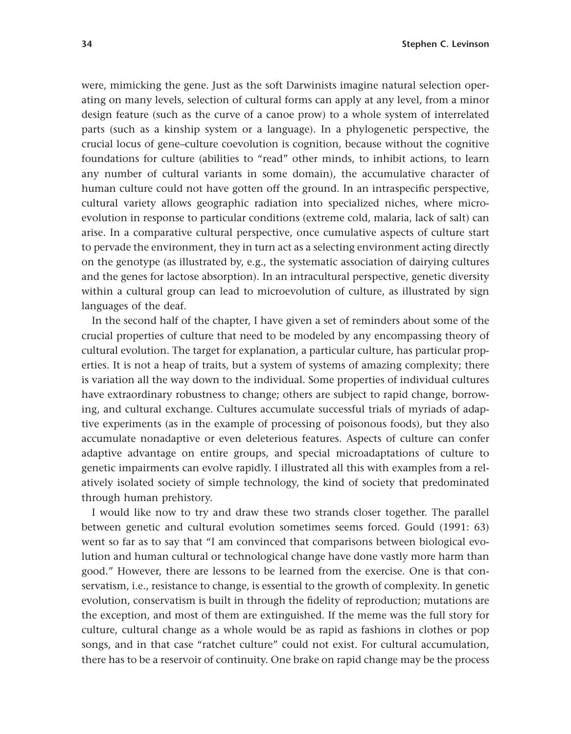were, mimicking the gene. Just as the soft Darwinists imagine natural selection operating on many levels, selection of cultural forms can apply at any level, from a minor design feature (such as the curve of a canoe prow) to a whole system of interrelated parts (such as a kinship system or a language). In a phylogenetic perspective, the crucial locus of gene–culture coevolution is cognition, because without the cognitive foundations for culture (abilities to "read" other minds, to inhibit actions, to learn any number of cultural variants in some domain), the accumulative character of human culture could not have gotten off the ground. In an intraspecific perspective, cultural variety allows geographic radiation into specialized niches, where microevolution in response to particular conditions (extreme cold, malaria, lack of salt) can arise. In a comparative cultural perspective, once cumulative aspects of culture start to pervade the environment, they in turn act as a selecting environment acting directly on the genotype (as illustrated by, e.g., the systematic association of dairying cultures and the genes for lactose absorption). In an intracultural perspective, genetic diversity within a cultural group can lead to microevolution of culture, as illustrated by sign languages of the deaf.

In the second half of the chapter, I have given a set of reminders about some of the crucial properties of culture that need to be modeled by any encompassing theory of cultural evolution. The target for explanation, a particular culture, has particular properties. It is not a heap of traits, but a system of systems of amazing complexity; there is variation all the way down to the individual. Some properties of individual cultures have extraordinary robustness to change; others are subject to rapid change, borrowing, and cultural exchange. Cultures accumulate successful trials of myriads of adaptive experiments (as in the example of processing of poisonous foods), but they also accumulate nonadaptive or even deleterious features. Aspects of culture can confer adaptive advantage on entire groups, and special microadaptations of culture to genetic impairments can evolve rapidly. I illustrated all this with examples from a relatively isolated society of simple technology, the kind of society that predominated through human prehistory.

I would like now to try and draw these two strands closer together. The parallel between genetic and cultural evolution sometimes seems forced. Gould (1991: 63) went so far as to say that "I am convinced that comparisons between biological evolution and human cultural or technological change have done vastly more harm than good." However, there are lessons to be learned from the exercise. One is that conservatism, i.e., resistance to change, is essential to the growth of complexity. In genetic evolution, conservatism is built in through the fidelity of reproduction; mutations are the exception, and most of them are extinguished. If the meme was the full story for culture, cultural change as a whole would be as rapid as fashions in clothes or pop songs, and in that case "ratchet culture" could not exist. For cultural accumulation, there has to be a reservoir of continuity. One brake on rapid change may be the process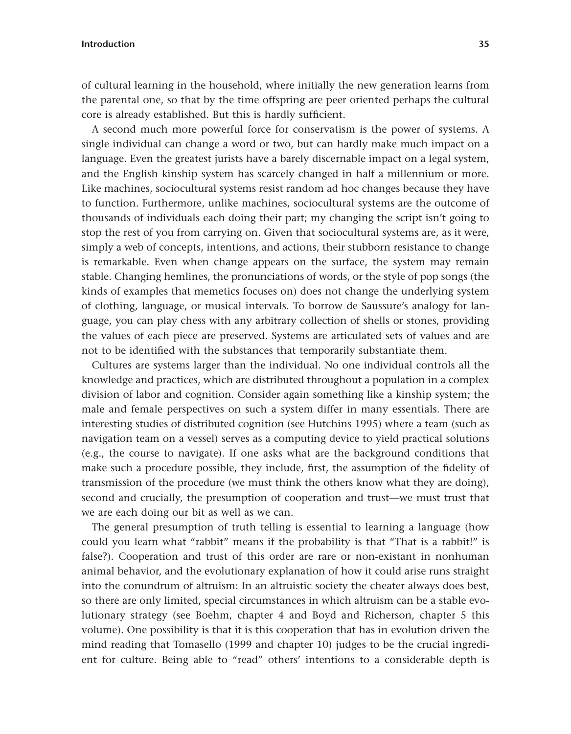of cultural learning in the household, where initially the new generation learns from the parental one, so that by the time offspring are peer oriented perhaps the cultural core is already established. But this is hardly sufficient.

A second much more powerful force for conservatism is the power of systems. A single individual can change a word or two, but can hardly make much impact on a language. Even the greatest jurists have a barely discernable impact on a legal system, and the English kinship system has scarcely changed in half a millennium or more. Like machines, sociocultural systems resist random ad hoc changes because they have to function. Furthermore, unlike machines, sociocultural systems are the outcome of thousands of individuals each doing their part; my changing the script isn't going to stop the rest of you from carrying on. Given that sociocultural systems are, as it were, simply a web of concepts, intentions, and actions, their stubborn resistance to change is remarkable. Even when change appears on the surface, the system may remain stable. Changing hemlines, the pronunciations of words, or the style of pop songs (the kinds of examples that memetics focuses on) does not change the underlying system of clothing, language, or musical intervals. To borrow de Saussure's analogy for language, you can play chess with any arbitrary collection of shells or stones, providing the values of each piece are preserved. Systems are articulated sets of values and are not to be identified with the substances that temporarily substantiate them.

Cultures are systems larger than the individual. No one individual controls all the knowledge and practices, which are distributed throughout a population in a complex division of labor and cognition. Consider again something like a kinship system; the male and female perspectives on such a system differ in many essentials. There are interesting studies of distributed cognition (see Hutchins 1995) where a team (such as navigation team on a vessel) serves as a computing device to yield practical solutions (e.g., the course to navigate). If one asks what are the background conditions that make such a procedure possible, they include, first, the assumption of the fidelity of transmission of the procedure (we must think the others know what they are doing), second and crucially, the presumption of cooperation and trust—we must trust that we are each doing our bit as well as we can.

The general presumption of truth telling is essential to learning a language (how could you learn what "rabbit" means if the probability is that "That is a rabbit!" is false?). Cooperation and trust of this order are rare or non-existant in nonhuman animal behavior, and the evolutionary explanation of how it could arise runs straight into the conundrum of altruism: In an altruistic society the cheater always does best, so there are only limited, special circumstances in which altruism can be a stable evolutionary strategy (see Boehm, chapter 4 and Boyd and Richerson, chapter 5 this volume). One possibility is that it is this cooperation that has in evolution driven the mind reading that Tomasello (1999 and chapter 10) judges to be the crucial ingredient for culture. Being able to "read" others' intentions to a considerable depth is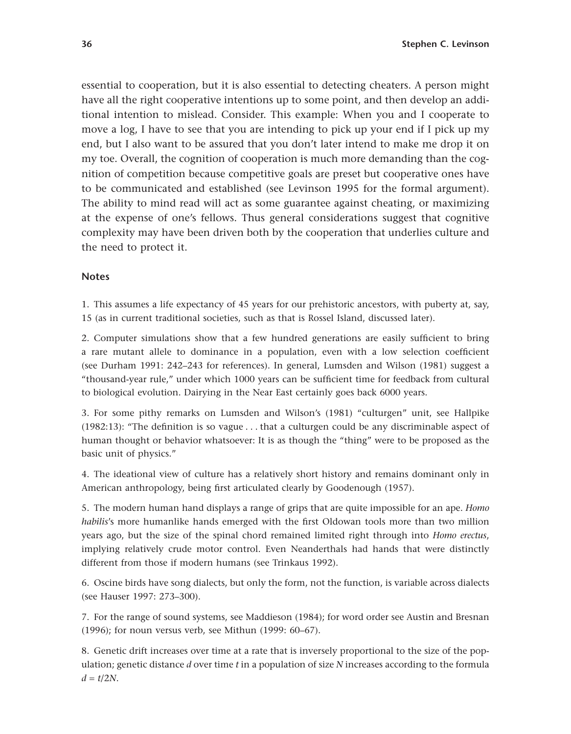essential to cooperation, but it is also essential to detecting cheaters. A person might have all the right cooperative intentions up to some point, and then develop an additional intention to mislead. Consider. This example: When you and I cooperate to move a log, I have to see that you are intending to pick up your end if I pick up my end, but I also want to be assured that you don't later intend to make me drop it on my toe. Overall, the cognition of cooperation is much more demanding than the cognition of competition because competitive goals are preset but cooperative ones have to be communicated and established (see Levinson 1995 for the formal argument). The ability to mind read will act as some guarantee against cheating, or maximizing at the expense of one's fellows. Thus general considerations suggest that cognitive complexity may have been driven both by the cooperation that underlies culture and the need to protect it.

### **Notes**

1. This assumes a life expectancy of 45 years for our prehistoric ancestors, with puberty at, say, 15 (as in current traditional societies, such as that is Rossel Island, discussed later).

2. Computer simulations show that a few hundred generations are easily sufficient to bring a rare mutant allele to dominance in a population, even with a low selection coefficient (see Durham 1991: 242–243 for references). In general, Lumsden and Wilson (1981) suggest a "thousand-year rule," under which 1000 years can be sufficient time for feedback from cultural to biological evolution. Dairying in the Near East certainly goes back 6000 years.

3. For some pithy remarks on Lumsden and Wilson's (1981) "culturgen" unit, see Hallpike (1982:13): "The definition is so vague . . . that a culturgen could be any discriminable aspect of human thought or behavior whatsoever: It is as though the "thing" were to be proposed as the basic unit of physics."

4. The ideational view of culture has a relatively short history and remains dominant only in American anthropology, being first articulated clearly by Goodenough (1957).

5. The modern human hand displays a range of grips that are quite impossible for an ape. *Homo habilis*'s more humanlike hands emerged with the first Oldowan tools more than two million years ago, but the size of the spinal chord remained limited right through into *Homo erectus*, implying relatively crude motor control. Even Neanderthals had hands that were distinctly different from those if modern humans (see Trinkaus 1992).

6. Oscine birds have song dialects, but only the form, not the function, is variable across dialects (see Hauser 1997: 273–300).

7. For the range of sound systems, see Maddieson (1984); for word order see Austin and Bresnan (1996); for noun versus verb, see Mithun (1999: 60–67).

8. Genetic drift increases over time at a rate that is inversely proportional to the size of the population; genetic distance *d* over time *t* in a population of size *N* increases according to the formula  $d = t/2N$ .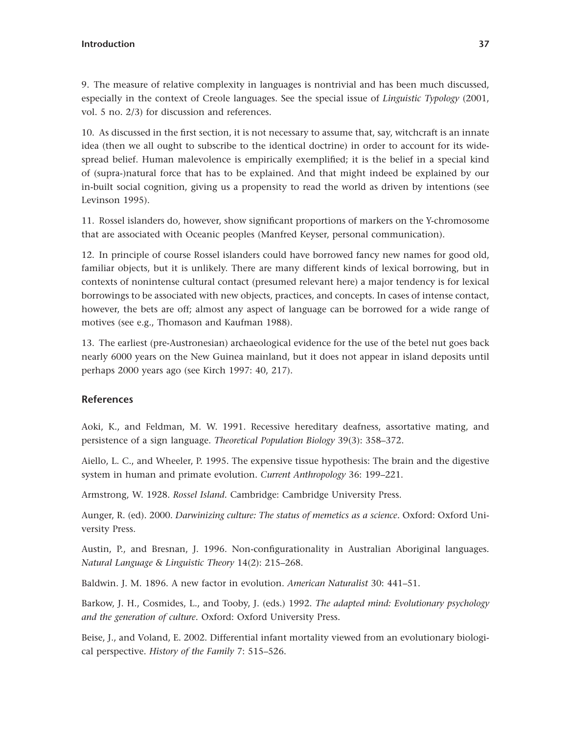9. The measure of relative complexity in languages is nontrivial and has been much discussed, especially in the context of Creole languages. See the special issue of *Linguistic Typology* (2001, vol. 5 no. 2/3) for discussion and references.

10. As discussed in the first section, it is not necessary to assume that, say, witchcraft is an innate idea (then we all ought to subscribe to the identical doctrine) in order to account for its widespread belief. Human malevolence is empirically exemplified; it is the belief in a special kind of (supra-)natural force that has to be explained. And that might indeed be explained by our in-built social cognition, giving us a propensity to read the world as driven by intentions (see Levinson 1995).

11. Rossel islanders do, however, show significant proportions of markers on the Y-chromosome that are associated with Oceanic peoples (Manfred Keyser, personal communication).

12. In principle of course Rossel islanders could have borrowed fancy new names for good old, familiar objects, but it is unlikely. There are many different kinds of lexical borrowing, but in contexts of nonintense cultural contact (presumed relevant here) a major tendency is for lexical borrowings to be associated with new objects, practices, and concepts. In cases of intense contact, however, the bets are off; almost any aspect of language can be borrowed for a wide range of motives (see e.g., Thomason and Kaufman 1988).

13. The earliest (pre-Austronesian) archaeological evidence for the use of the betel nut goes back nearly 6000 years on the New Guinea mainland, but it does not appear in island deposits until perhaps 2000 years ago (see Kirch 1997: 40, 217).

## **References**

Aoki, K., and Feldman, M. W. 1991. Recessive hereditary deafness, assortative mating, and persistence of a sign language. *Theoretical Population Biology* 39(3): 358–372.

Aiello, L. C., and Wheeler, P. 1995. The expensive tissue hypothesis: The brain and the digestive system in human and primate evolution. *Current Anthropology* 36: 199–221.

Armstrong, W. 1928. *Rossel Island.* Cambridge: Cambridge University Press.

Aunger, R. (ed). 2000. *Darwinizing culture: The status of memetics as a science*. Oxford: Oxford University Press.

Austin, P., and Bresnan, J. 1996. Non-configurationality in Australian Aboriginal languages*. Natural Language & Linguistic Theory* 14(2): 215–268.

Baldwin. J. M. 1896. A new factor in evolution. *American Naturalist* 30: 441–51.

Barkow, J. H., Cosmides, L., and Tooby, J. (eds.) 1992. *The adapted mind: Evolutionary psychology and the generation of culture.* Oxford: Oxford University Press.

Beise, J., and Voland, E. 2002. Differential infant mortality viewed from an evolutionary biological perspective. *History of the Family* 7: 515–526.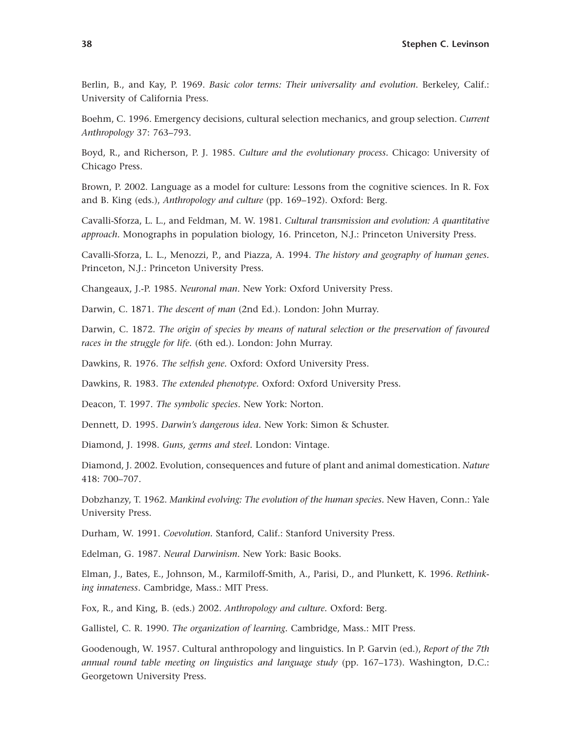Berlin, B., and Kay, P. 1969. *Basic color terms: Their universality and evolution*. Berkeley, Calif.: University of California Press.

Boehm, C. 1996. Emergency decisions, cultural selection mechanics, and group selection. *Current Anthropology* 37: 763–793.

Boyd, R., and Richerson, P. J. 1985. *Culture and the evolutionary process.* Chicago: University of Chicago Press.

Brown, P. 2002. Language as a model for culture: Lessons from the cognitive sciences. In R. Fox and B. King (eds.), *Anthropology and culture* (pp. 169–192). Oxford: Berg.

Cavalli-Sforza, L. L., and Feldman, M. W. 1981. *Cultural transmission and evolution: A quantitative approach.* Monographs in population biology, 16. Princeton, N.J.: Princeton University Press.

Cavalli-Sforza, L. L., Menozzi, P., and Piazza, A. 1994. *The history and geography of human genes.* Princeton, N.J.: Princeton University Press.

Changeaux, J.-P. 1985. *Neuronal man*. New York: Oxford University Press.

Darwin, C. 1871. *The descent of man* (2nd Ed.). London: John Murray.

Darwin, C. 1872. *The origin of species by means of natural selection or the preservation of favoured races in the struggle for life.* (6th ed.). London: John Murray.

Dawkins, R. 1976. *The selfish gene.* Oxford: Oxford University Press.

Dawkins, R. 1983. *The extended phenotype.* Oxford: Oxford University Press.

Deacon, T. 1997. *The symbolic species.* New York: Norton.

Dennett, D. 1995. *Darwin's dangerous idea.* New York: Simon & Schuster.

Diamond, J. 1998. *Guns, germs and steel.* London: Vintage.

Diamond, J. 2002. Evolution, consequences and future of plant and animal domestication. *Nature* 418: 700–707.

Dobzhanzy, T. 1962. *Mankind evolving: The evolution of the human species.* New Haven, Conn.: Yale University Press.

Durham, W. 1991. *Coevolution.* Stanford, Calif.: Stanford University Press.

Edelman, G. 1987. *Neural Darwinism.* New York: Basic Books.

Elman, J., Bates, E., Johnson, M., Karmiloff-Smith, A., Parisi, D., and Plunkett, K. 1996. *Rethinking innateness*. Cambridge, Mass.: MIT Press.

Fox, R., and King, B. (eds.) 2002. *Anthropology and culture.* Oxford: Berg.

Gallistel, C. R. 1990. *The organization of learning.* Cambridge, Mass.: MIT Press.

Goodenough, W. 1957. Cultural anthropology and linguistics. In P. Garvin (ed.), *Report of the 7th annual round table meeting on linguistics and language study* (pp. 167–173). Washington, D.C.: Georgetown University Press.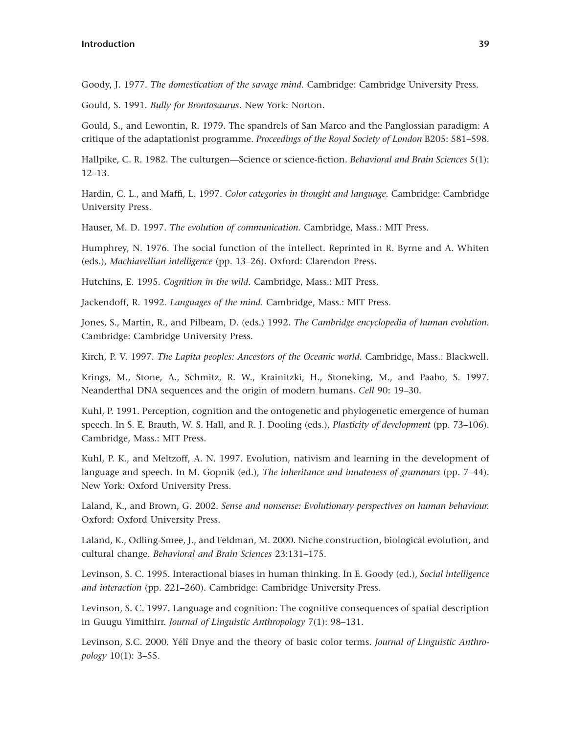Goody, J. 1977. *The domestication of the savage mind.* Cambridge: Cambridge University Press.

Gould, S. 1991. *Bully for Brontosaurus.* New York: Norton.

Gould, S., and Lewontin, R. 1979. The spandrels of San Marco and the Panglossian paradigm: A critique of the adaptationist programme. *Proceedings of the Royal Society of London* B205: 581–598.

Hallpike, C. R. 1982. The culturgen—Science or science-fiction. *Behavioral and Brain Sciences* 5(1): 12–13.

Hardin, C. L., and Maffi, L. 1997. *Color categories in thought and language.* Cambridge: Cambridge University Press.

Hauser, M. D. 1997. *The evolution of communication.* Cambridge, Mass.: MIT Press.

Humphrey, N. 1976. The social function of the intellect. Reprinted in R. Byrne and A. Whiten (eds.), *Machiavellian intelligence* (pp. 13–26). Oxford: Clarendon Press.

Hutchins, E. 1995. *Cognition in the wild.* Cambridge, Mass.: MIT Press.

Jackendoff, R. 1992. *Languages of the mind.* Cambridge, Mass.: MIT Press.

Jones, S., Martin, R., and Pilbeam, D. (eds.) 1992. *The Cambridge encyclopedia of human evolution.* Cambridge: Cambridge University Press.

Kirch, P. V. 1997. *The Lapita peoples: Ancestors of the Oceanic world.* Cambridge, Mass.: Blackwell.

Krings, M., Stone, A., Schmitz, R. W., Krainitzki, H., Stoneking, M., and Paabo, S. 1997. Neanderthal DNA sequences and the origin of modern humans. *Cell* 90: 19–30.

Kuhl, P. 1991. Perception, cognition and the ontogenetic and phylogenetic emergence of human speech. In S. E. Brauth, W. S. Hall, and R. J. Dooling (eds.), *Plasticity of development* (pp. 73–106). Cambridge, Mass.: MIT Press.

Kuhl, P. K., and Meltzoff, A. N. 1997. Evolution, nativism and learning in the development of language and speech. In M. Gopnik (ed.), *The inheritance and innateness of grammars* (pp. 7–44). New York: Oxford University Press.

Laland, K., and Brown, G. 2002. *Sense and nonsense: Evolutionary perspectives on human behaviour.* Oxford: Oxford University Press.

Laland, K., Odling-Smee, J., and Feldman, M. 2000. Niche construction, biological evolution, and cultural change. *Behavioral and Brain Sciences* 23:131–175.

Levinson, S. C. 1995. Interactional biases in human thinking. In E. Goody (ed.), *Social intelligence and interaction* (pp. 221–260). Cambridge: Cambridge University Press.

Levinson, S. C. 1997. Language and cognition: The cognitive consequences of spatial description in Guugu Yimithirr. *Journal of Linguistic Anthropology* 7(1): 98–131.

Levinson, S.C. 2000. Yélî Dnye and the theory of basic color terms. *Journal of Linguistic Anthropology* 10(1): 3–55.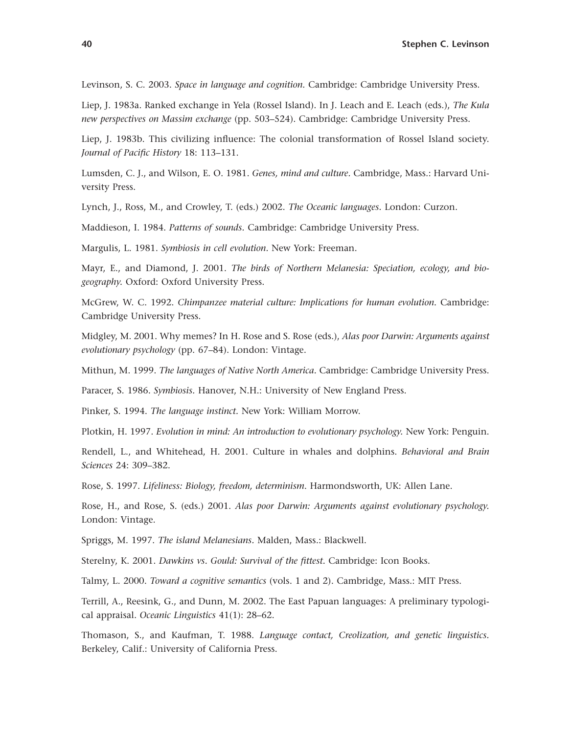Levinson, S. C. 2003. *Space in language and cognition.* Cambridge: Cambridge University Press.

Liep, J. 1983a. Ranked exchange in Yela (Rossel Island). In J. Leach and E. Leach (eds.), *The Kula new perspectives on Massim exchange* (pp. 503–524). Cambridge: Cambridge University Press.

Liep, J. 1983b. This civilizing influence: The colonial transformation of Rossel Island society. *Journal of Pacific History* 18: 113–131.

Lumsden, C. J., and Wilson, E. O. 1981. *Genes, mind and culture.* Cambridge, Mass.: Harvard University Press.

Lynch, J., Ross, M., and Crowley, T. (eds.) 2002. *The Oceanic languages.* London: Curzon.

Maddieson, I. 1984. *Patterns of sounds.* Cambridge: Cambridge University Press.

Margulis, L. 1981. *Symbiosis in cell evolution.* New York: Freeman.

Mayr, E., and Diamond, J. 2001. *The birds of Northern Melanesia: Speciation, ecology, and biogeography.* Oxford: Oxford University Press.

McGrew, W. C. 1992. *Chimpanzee material culture: Implications for human evolution.* Cambridge: Cambridge University Press.

Midgley, M. 2001. Why memes? In H. Rose and S. Rose (eds.), *Alas poor Darwin: Arguments against evolutionary psychology* (pp. 67–84). London: Vintage.

Mithun, M. 1999. *The languages of Native North America.* Cambridge: Cambridge University Press.

Paracer, S. 1986. *Symbiosis.* Hanover, N.H.: University of New England Press.

Pinker, S. 1994. *The language instinct.* New York: William Morrow.

Plotkin, H. 1997. *Evolution in mind: An introduction to evolutionary psychology.* New York: Penguin.

Rendell, L., and Whitehead, H. 2001. Culture in whales and dolphins. *Behavioral and Brain Sciences* 24: 309–382.

Rose, S. 1997. *Lifeliness: Biology, freedom, determinism*. Harmondsworth, UK: Allen Lane.

Rose, H., and Rose, S. (eds.) 2001. *Alas poor Darwin: Arguments against evolutionary psychology.* London: Vintage.

Spriggs, M. 1997. *The island Melanesians.* Malden, Mass.: Blackwell.

Sterelny, K. 2001. *Dawkins vs. Gould: Survival of the fittest.* Cambridge: Icon Books.

Talmy, L. 2000. *Toward a cognitive semantics* (vols. 1 and 2). Cambridge, Mass.: MIT Press.

Terrill, A., Reesink, G., and Dunn, M. 2002. The East Papuan languages: A preliminary typological appraisal. *Oceanic Linguistics* 41(1): 28–62.

Thomason, S., and Kaufman, T. 1988. *Language contact, Creolization, and genetic linguistics.* Berkeley, Calif.: University of California Press.